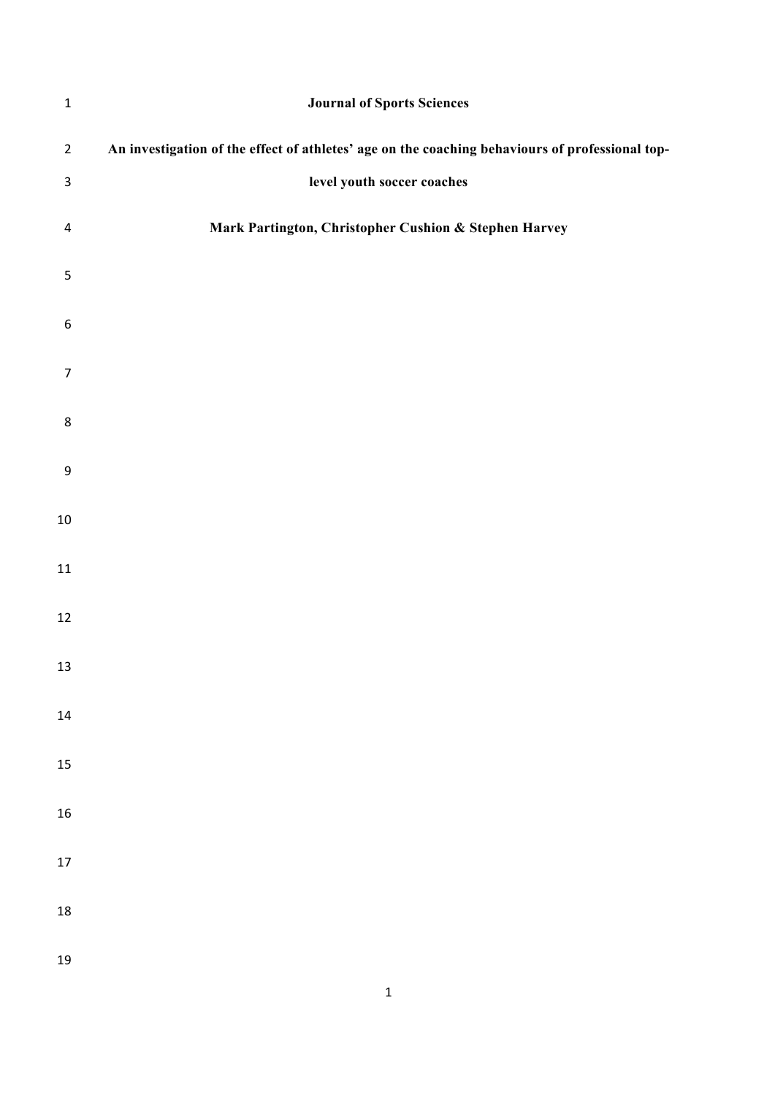| $\mathbf 1$              | <b>Journal of Sports Sciences</b>                                                               |
|--------------------------|-------------------------------------------------------------------------------------------------|
| $\overline{2}$           | An investigation of the effect of athletes' age on the coaching behaviours of professional top- |
| $\mathsf 3$              | level youth soccer coaches                                                                      |
| $\overline{\mathcal{A}}$ | Mark Partington, Christopher Cushion & Stephen Harvey                                           |
| $\sqrt{5}$               |                                                                                                 |
| $\boldsymbol{6}$         |                                                                                                 |
| $\overline{7}$           |                                                                                                 |
| 8                        |                                                                                                 |
| $\boldsymbol{9}$         |                                                                                                 |
| $10\,$                   |                                                                                                 |
| 11                       |                                                                                                 |
| 12                       |                                                                                                 |
| 13                       |                                                                                                 |
| 14                       |                                                                                                 |
| 15                       |                                                                                                 |
| 16                       |                                                                                                 |
| 17                       |                                                                                                 |
| 18                       |                                                                                                 |
| 19                       |                                                                                                 |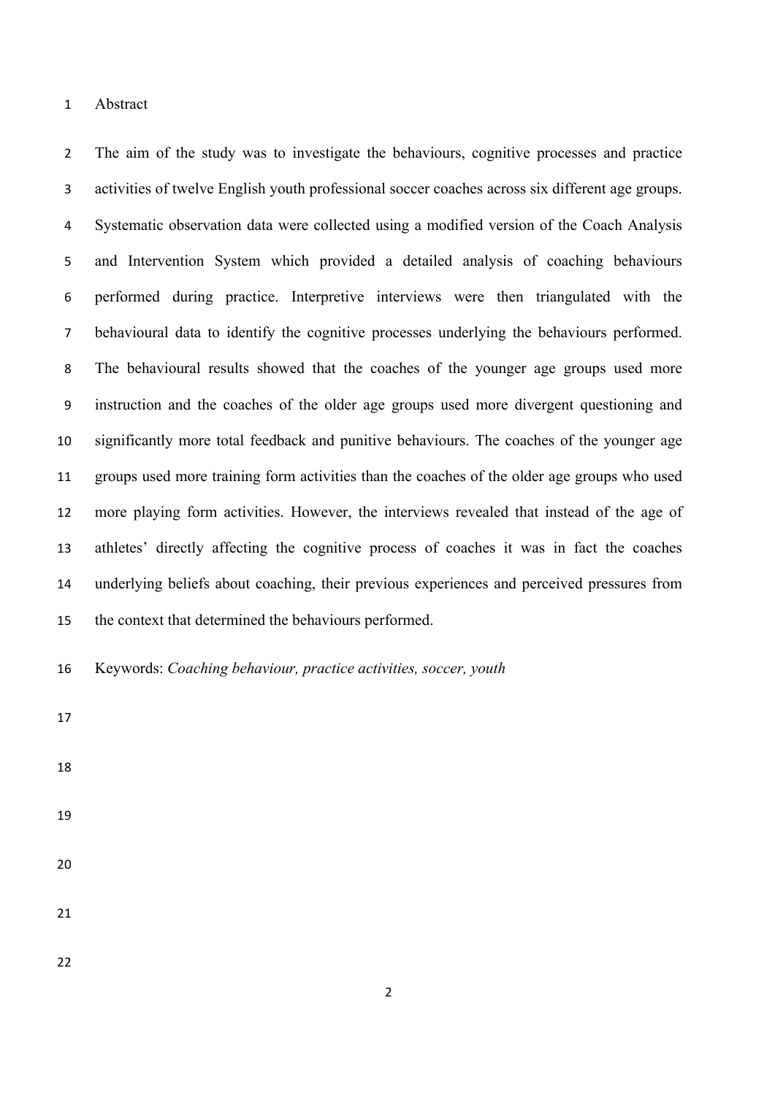Abstract

 The aim of the study was to investigate the behaviours, cognitive processes and practice activities of twelve English youth professional soccer coaches across six different age groups. Systematic observation data were collected using a modified version of the Coach Analysis and Intervention System which provided a detailed analysis of coaching behaviours performed during practice. Interpretive interviews were then triangulated with the behavioural data to identify the cognitive processes underlying the behaviours performed. The behavioural results showed that the coaches of the younger age groups used more instruction and the coaches of the older age groups used more divergent questioning and significantly more total feedback and punitive behaviours. The coaches of the younger age groups used more training form activities than the coaches of the older age groups who used more playing form activities. However, the interviews revealed that instead of the age of athletes' directly affecting the cognitive process of coaches it was in fact the coaches underlying beliefs about coaching, their previous experiences and perceived pressures from the context that determined the behaviours performed.

Keywords: *Coaching behaviour, practice activities, soccer, youth*

- 
- 
- 
- 
-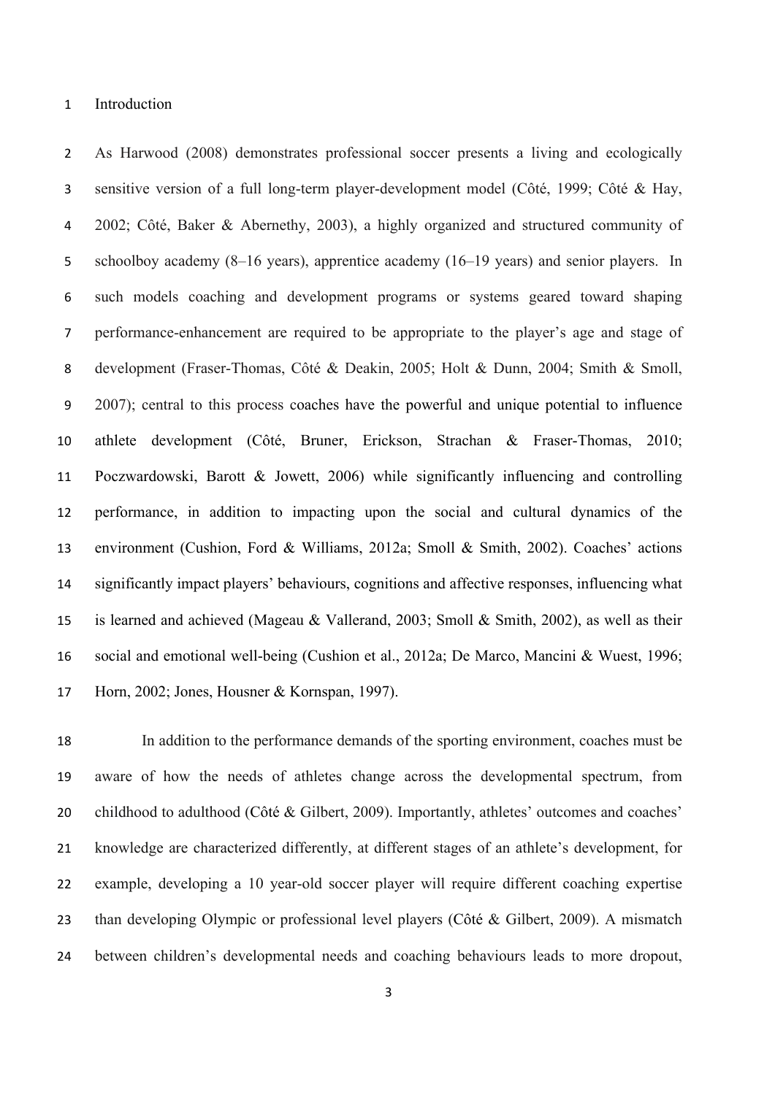Introduction

 As Harwood (2008) demonstrates professional soccer presents a living and ecologically sensitive version of a full long-term player-development model (Côté, 1999; Côté & Hay, 2002; Côté, Baker & Abernethy, 2003), a highly organized and structured community of schoolboy academy (8–16 years), apprentice academy (16–19 years) and senior players. In such models coaching and development programs or systems geared toward shaping performance-enhancement are required to be appropriate to the player's age and stage of development (Fraser-Thomas, Côté & Deakin, 2005; Holt & Dunn, 2004; Smith & Smoll, 2007); central to this process coaches have the powerful and unique potential to influence athlete development (Côté, Bruner, Erickson, Strachan & Fraser-Thomas, 2010; Poczwardowski, Barott & Jowett, 2006) while significantly influencing and controlling performance, in addition to impacting upon the social and cultural dynamics of the environment (Cushion, Ford & Williams, 2012a; Smoll & Smith, 2002). Coaches' actions significantly impact players' behaviours, cognitions and affective responses, influencing what is learned and achieved (Mageau & Vallerand, 2003; Smoll & Smith, 2002), as well as their social and emotional well-being (Cushion et al., 2012a; De Marco, Mancini & Wuest, 1996; Horn, 2002; Jones, Housner & Kornspan, 1997).

 In addition to the performance demands of the sporting environment, coaches must be aware of how the needs of athletes change across the developmental spectrum, from 20 childhood to adulthood (Côté & Gilbert, 2009). Importantly, athletes' outcomes and coaches' knowledge are characterized differently, at different stages of an athlete's development, for example, developing a 10 year-old soccer player will require different coaching expertise than developing Olympic or professional level players (Côté & Gilbert, 2009). A mismatch between children's developmental needs and coaching behaviours leads to more dropout,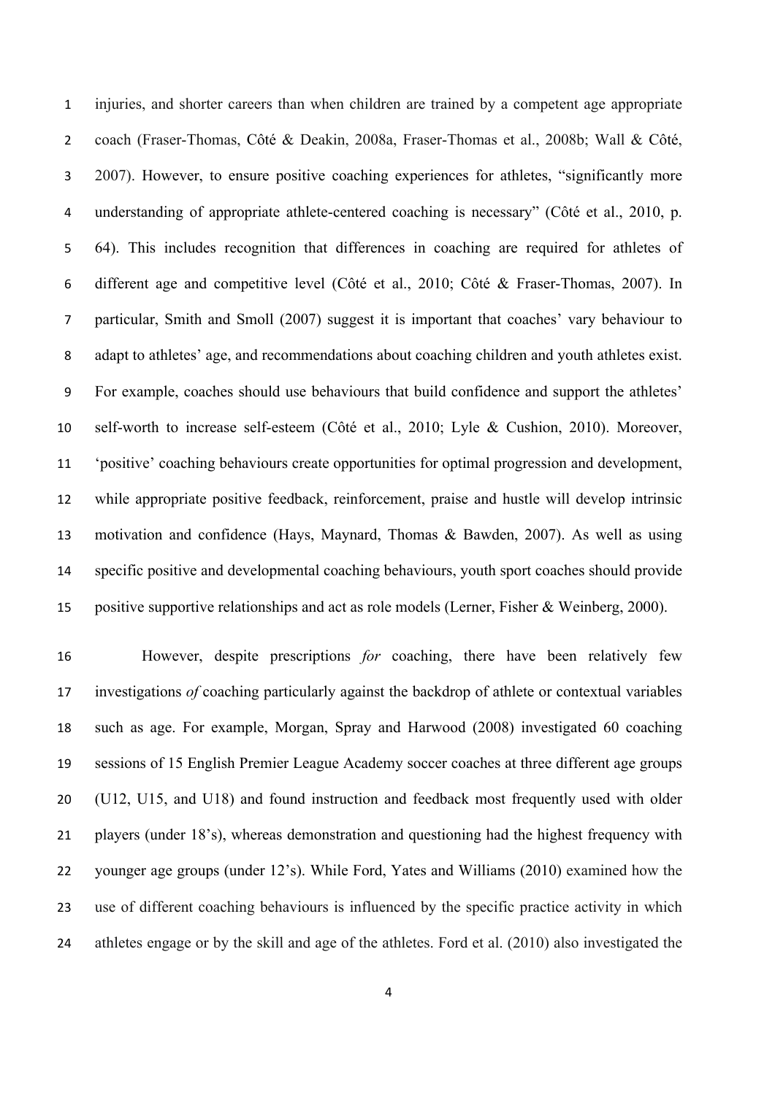injuries, and shorter careers than when children are trained by a competent age appropriate coach (Fraser-Thomas, Côté & Deakin, 2008a, Fraser-Thomas et al., 2008b; Wall & Côté, 2007). However, to ensure positive coaching experiences for athletes, "significantly more 4 understanding of appropriate athlete-centered coaching is necessary" (Côté et al., 2010, p. 64). This includes recognition that differences in coaching are required for athletes of different age and competitive level (Côté et al., 2010; Côté & Fraser-Thomas, 2007). In particular, Smith and Smoll (2007) suggest it is important that coaches' vary behaviour to adapt to athletes' age, and recommendations about coaching children and youth athletes exist. For example, coaches should use behaviours that build confidence and support the athletes' self-worth to increase self-esteem (Côté et al., 2010; Lyle & Cushion, 2010). Moreover, 'positive' coaching behaviours create opportunities for optimal progression and development, while appropriate positive feedback, reinforcement, praise and hustle will develop intrinsic motivation and confidence (Hays, Maynard, Thomas & Bawden, 2007). As well as using specific positive and developmental coaching behaviours, youth sport coaches should provide positive supportive relationships and act as role models (Lerner, Fisher & Weinberg, 2000).

 However, despite prescriptions *for* coaching, there have been relatively few investigations *of* coaching particularly against the backdrop of athlete or contextual variables such as age. For example, Morgan, Spray and Harwood (2008) investigated 60 coaching sessions of 15 English Premier League Academy soccer coaches at three different age groups (U12, U15, and U18) and found instruction and feedback most frequently used with older players (under 18's), whereas demonstration and questioning had the highest frequency with younger age groups (under 12's). While Ford, Yates and Williams (2010) examined how the use of different coaching behaviours is influenced by the specific practice activity in which athletes engage or by the skill and age of the athletes. Ford et al. (2010) also investigated the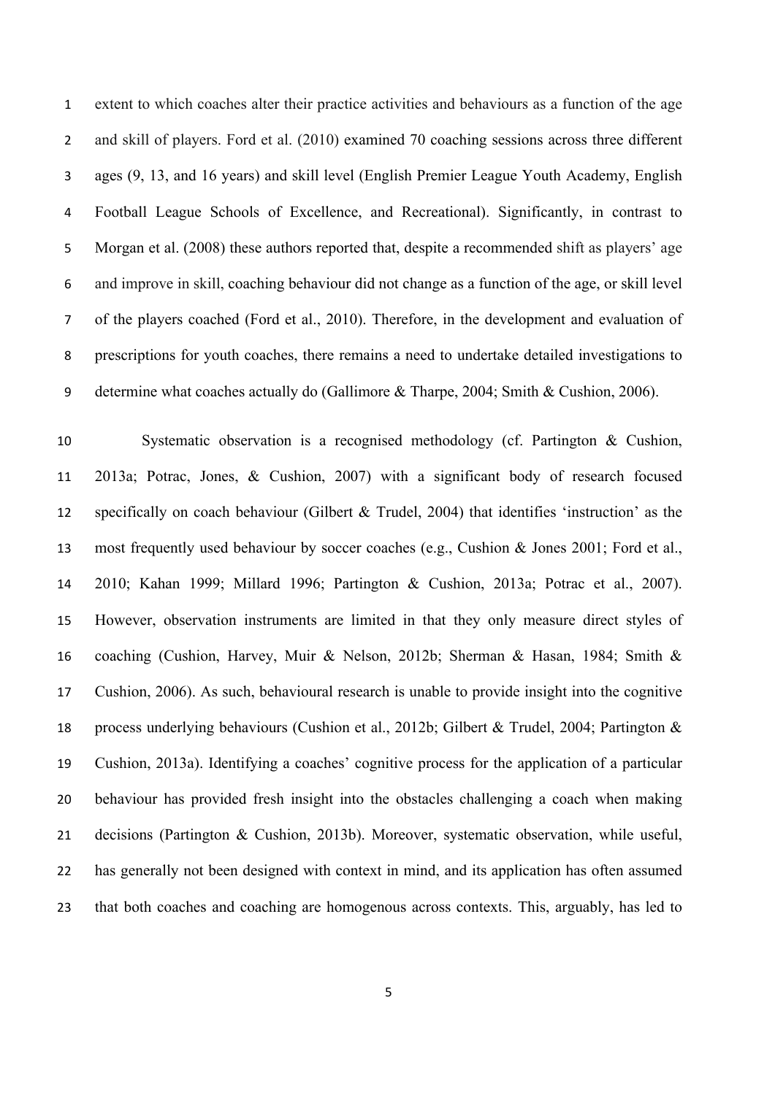extent to which coaches alter their practice activities and behaviours as a function of the age and skill of players. Ford et al. (2010) examined 70 coaching sessions across three different ages (9, 13, and 16 years) and skill level (English Premier League Youth Academy, English Football League Schools of Excellence, and Recreational). Significantly, in contrast to Morgan et al. (2008) these authors reported that, despite a recommended shift as players' age and improve in skill, coaching behaviour did not change as a function of the age, or skill level of the players coached (Ford et al., 2010). Therefore, in the development and evaluation of prescriptions for youth coaches, there remains a need to undertake detailed investigations to determine what coaches actually do (Gallimore & Tharpe, 2004; Smith & Cushion, 2006).

 Systematic observation is a recognised methodology (cf. Partington & Cushion, 2013a; Potrac, Jones, & Cushion, 2007) with a significant body of research focused specifically on coach behaviour (Gilbert & Trudel, 2004) that identifies 'instruction' as the most frequently used behaviour by soccer coaches (e.g., Cushion & Jones 2001; Ford et al., 2010; Kahan 1999; Millard 1996; Partington & Cushion, 2013a; Potrac et al., 2007). However, observation instruments are limited in that they only measure direct styles of coaching (Cushion, Harvey, Muir & Nelson, 2012b; Sherman & Hasan, 1984; Smith & Cushion, 2006). As such, behavioural research is unable to provide insight into the cognitive process underlying behaviours (Cushion et al., 2012b; Gilbert & Trudel, 2004; Partington & Cushion, 2013a). Identifying a coaches' cognitive process for the application of a particular behaviour has provided fresh insight into the obstacles challenging a coach when making decisions (Partington & Cushion, 2013b). Moreover, systematic observation, while useful, has generally not been designed with context in mind, and its application has often assumed that both coaches and coaching are homogenous across contexts. This, arguably, has led to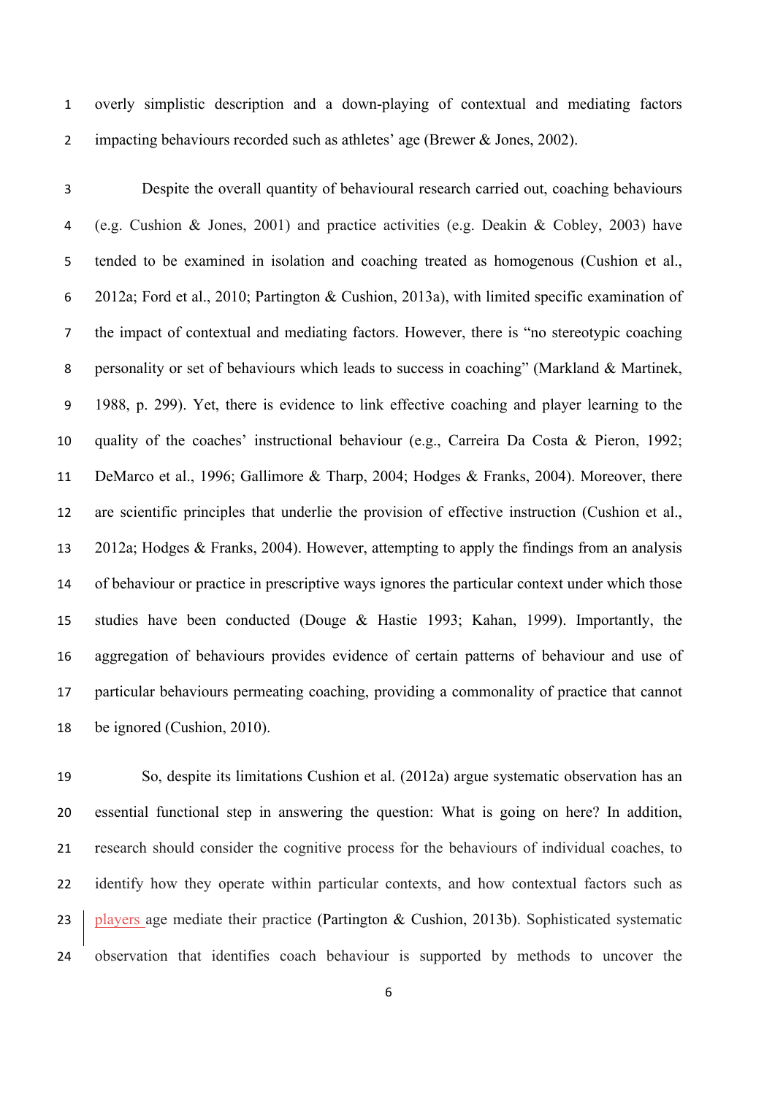overly simplistic description and a down-playing of contextual and mediating factors impacting behaviours recorded such as athletes' age (Brewer & Jones, 2002).

 Despite the overall quantity of behavioural research carried out, coaching behaviours (e.g. Cushion & Jones, 2001) and practice activities (e.g. Deakin & Cobley, 2003) have tended to be examined in isolation and coaching treated as homogenous (Cushion et al., 2012a; Ford et al., 2010; Partington & Cushion, 2013a), with limited specific examination of the impact of contextual and mediating factors. However, there is "no stereotypic coaching personality or set of behaviours which leads to success in coaching" (Markland & Martinek, 1988, p. 299). Yet, there is evidence to link effective coaching and player learning to the quality of the coaches' instructional behaviour (e.g., Carreira Da Costa & Pieron, 1992; DeMarco et al., 1996; Gallimore & Tharp, 2004; Hodges & Franks, 2004). Moreover, there are scientific principles that underlie the provision of effective instruction (Cushion et al., 2012a; Hodges & Franks, 2004). However, attempting to apply the findings from an analysis of behaviour or practice in prescriptive ways ignores the particular context under which those studies have been conducted (Douge & Hastie 1993; Kahan, 1999). Importantly, the aggregation of behaviours provides evidence of certain patterns of behaviour and use of particular behaviours permeating coaching, providing a commonality of practice that cannot be ignored (Cushion, 2010).

 So, despite its limitations Cushion et al. (2012a) argue systematic observation has an essential functional step in answering the question: What is going on here? In addition, research should consider the cognitive process for the behaviours of individual coaches, to 22 identify how they operate within particular contexts, and how contextual factors such as 23 players age mediate their practice (Partington & Cushion, 2013b). Sophisticated systematic observation that identifies coach behaviour is supported by methods to uncover the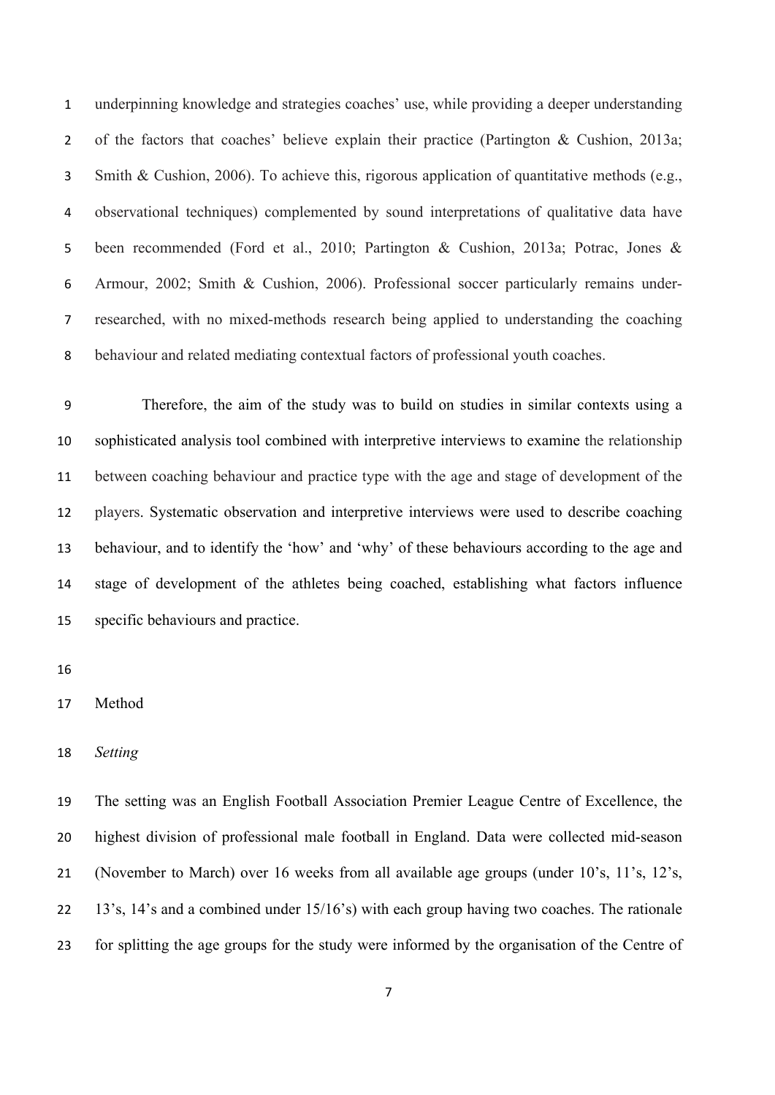underpinning knowledge and strategies coaches' use, while providing a deeper understanding of the factors that coaches' believe explain their practice (Partington & Cushion, 2013a; Smith & Cushion, 2006). To achieve this, rigorous application of quantitative methods (e.g., observational techniques) complemented by sound interpretations of qualitative data have been recommended (Ford et al., 2010; Partington & Cushion, 2013a; Potrac, Jones & Armour, 2002; Smith & Cushion, 2006). Professional soccer particularly remains under- researched, with no mixed-methods research being applied to understanding the coaching behaviour and related mediating contextual factors of professional youth coaches.

 Therefore, the aim of the study was to build on studies in similar contexts using a sophisticated analysis tool combined with interpretive interviews to examine the relationship between coaching behaviour and practice type with the age and stage of development of the players. Systematic observation and interpretive interviews were used to describe coaching behaviour, and to identify the 'how' and 'why' of these behaviours according to the age and stage of development of the athletes being coached, establishing what factors influence specific behaviours and practice.

*Setting* 

 The setting was an English Football Association Premier League Centre of Excellence, the highest division of professional male football in England. Data were collected mid-season (November to March) over 16 weeks from all available age groups (under 10's, 11's, 12's, 13's, 14's and a combined under 15/16's) with each group having two coaches. The rationale for splitting the age groups for the study were informed by the organisation of the Centre of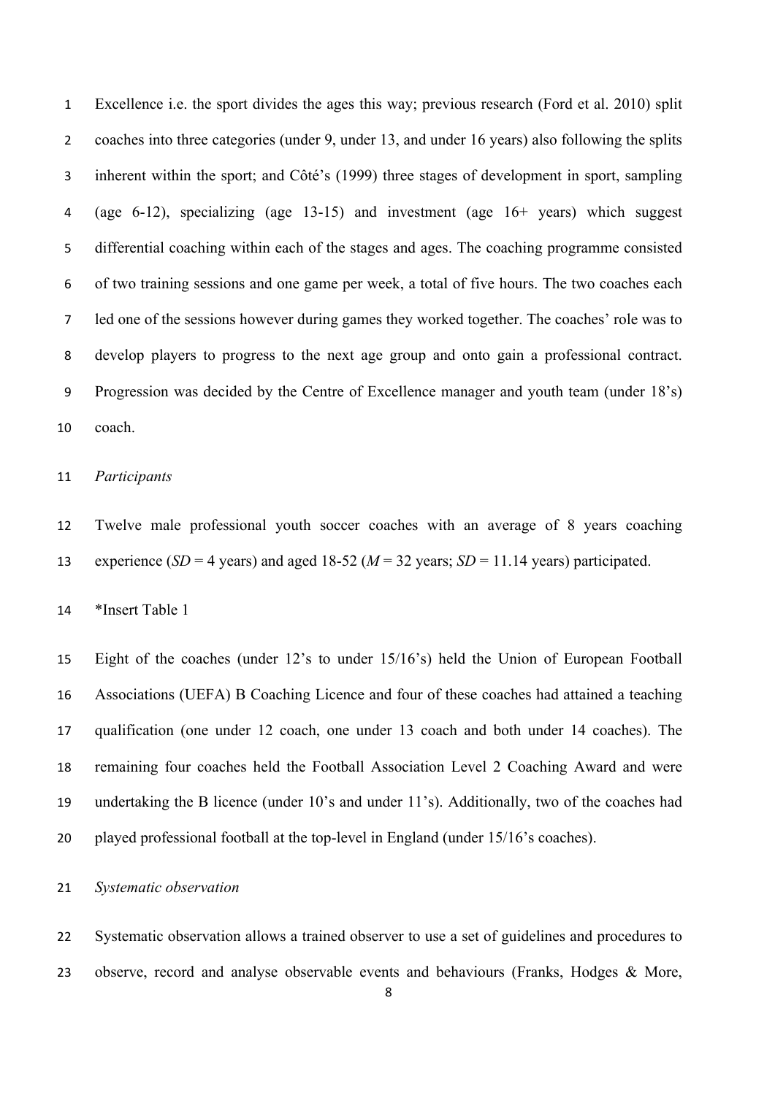Excellence i.e. the sport divides the ages this way; previous research (Ford et al. 2010) split coaches into three categories (under 9, under 13, and under 16 years) also following the splits inherent within the sport; and Côté's (1999) three stages of development in sport, sampling (age 6-12), specializing (age 13-15) and investment (age 16+ years) which suggest differential coaching within each of the stages and ages. The coaching programme consisted of two training sessions and one game per week, a total of five hours. The two coaches each led one of the sessions however during games they worked together. The coaches' role was to develop players to progress to the next age group and onto gain a professional contract. Progression was decided by the Centre of Excellence manager and youth team (under 18's) coach.

# *Participants*

 Twelve male professional youth soccer coaches with an average of 8 years coaching 13 experience (*SD* = 4 years) and aged 18-52 ( $M = 32$  years; *SD* = 11.14 years) participated.

\*Insert Table 1

 Eight of the coaches (under 12's to under 15/16's) held the Union of European Football Associations (UEFA) B Coaching Licence and four of these coaches had attained a teaching qualification (one under 12 coach, one under 13 coach and both under 14 coaches). The remaining four coaches held the Football Association Level 2 Coaching Award and were undertaking the B licence (under 10's and under 11's). Additionally, two of the coaches had played professional football at the top-level in England (under 15/16's coaches).

# *Systematic observation*

 Systematic observation allows a trained observer to use a set of guidelines and procedures to 23 observe, record and analyse observable events and behaviours (Franks, Hodges & More,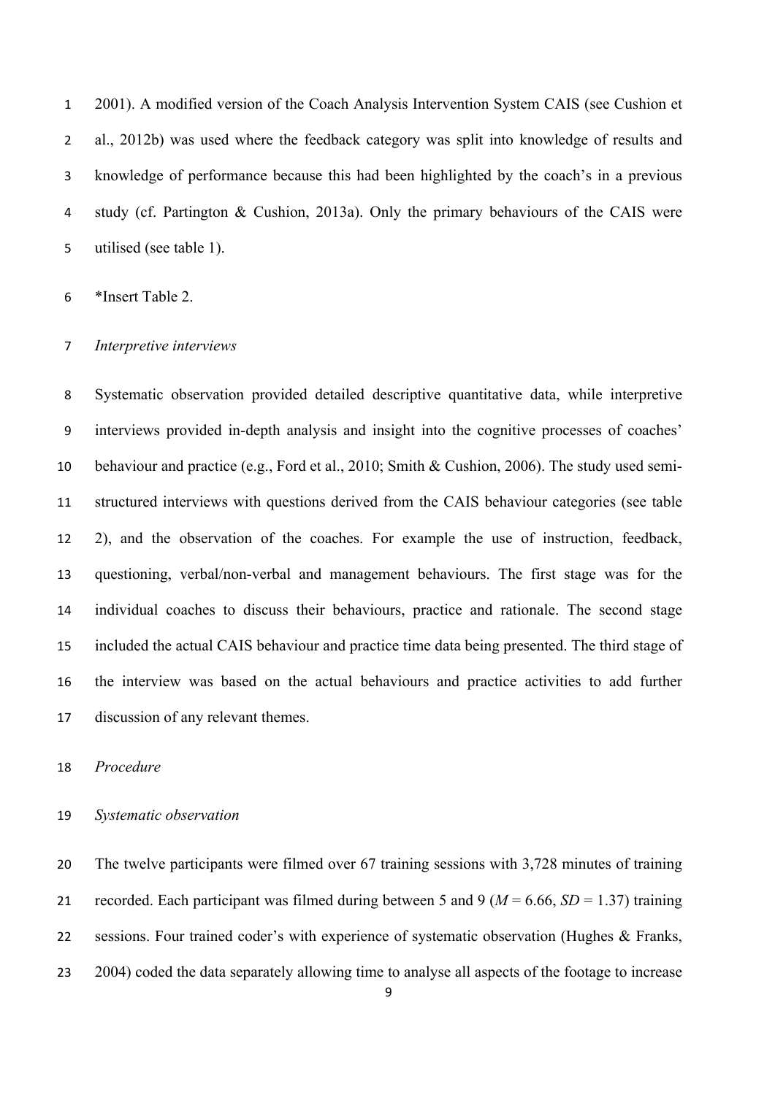2001). A modified version of the Coach Analysis Intervention System CAIS (see Cushion et al., 2012b) was used where the feedback category was split into knowledge of results and knowledge of performance because this had been highlighted by the coach's in a previous study (cf. Partington & Cushion, 2013a). Only the primary behaviours of the CAIS were utilised (see table 1).

\*Insert Table 2.

#### *Interpretive interviews*

 Systematic observation provided detailed descriptive quantitative data, while interpretive interviews provided in-depth analysis and insight into the cognitive processes of coaches' behaviour and practice (e.g., Ford et al., 2010; Smith & Cushion, 2006). The study used semi- structured interviews with questions derived from the CAIS behaviour categories (see table 2), and the observation of the coaches. For example the use of instruction, feedback, questioning, verbal/non-verbal and management behaviours. The first stage was for the individual coaches to discuss their behaviours, practice and rationale. The second stage included the actual CAIS behaviour and practice time data being presented. The third stage of the interview was based on the actual behaviours and practice activities to add further discussion of any relevant themes.

#### *Procedure*

#### *Systematic observation*

 The twelve participants were filmed over 67 training sessions with 3,728 minutes of training 21 recorded. Each participant was filmed during between 5 and 9 ( $M = 6.66$ ,  $SD = 1.37$ ) training sessions. Four trained coder's with experience of systematic observation (Hughes & Franks, 2004) coded the data separately allowing time to analyse all aspects of the footage to increase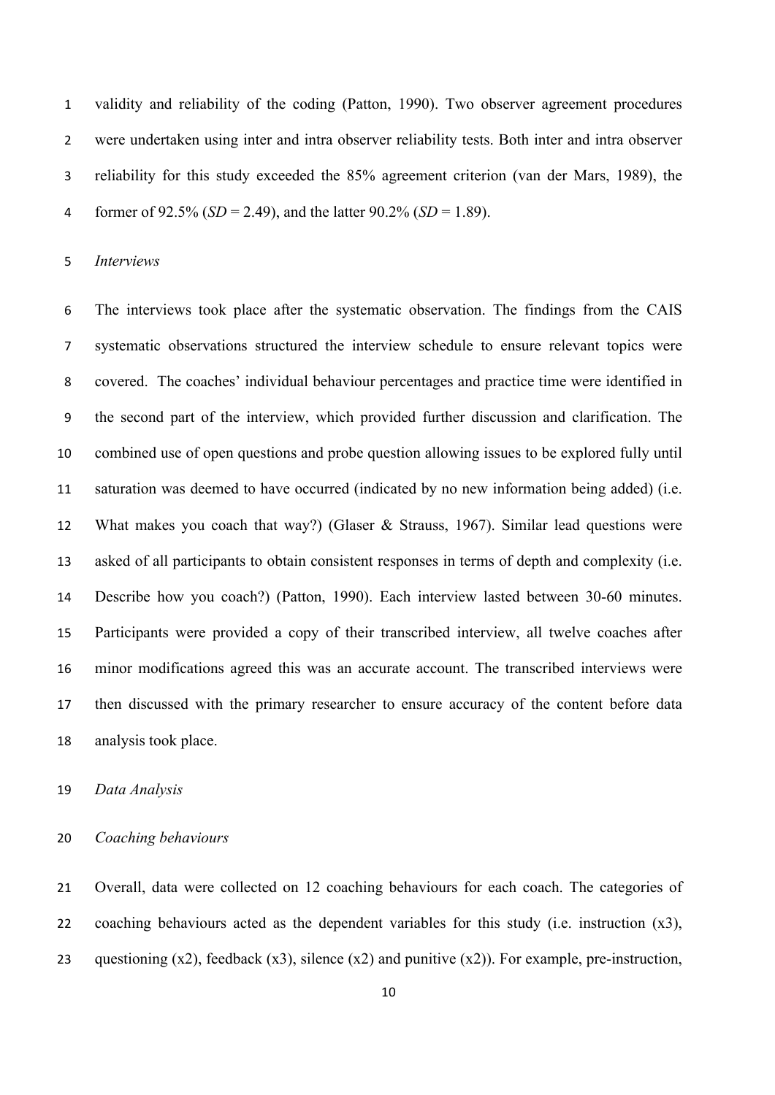validity and reliability of the coding (Patton, 1990). Two observer agreement procedures were undertaken using inter and intra observer reliability tests. Both inter and intra observer reliability for this study exceeded the 85% agreement criterion (van der Mars, 1989), the former of 92.5% (*SD* = 2.49), and the latter 90.2% (*SD* = 1.89).

### *Interviews*

 The interviews took place after the systematic observation. The findings from the CAIS systematic observations structured the interview schedule to ensure relevant topics were covered. The coaches' individual behaviour percentages and practice time were identified in the second part of the interview, which provided further discussion and clarification. The combined use of open questions and probe question allowing issues to be explored fully until saturation was deemed to have occurred (indicated by no new information being added) (i.e. What makes you coach that way?) (Glaser & Strauss, 1967). Similar lead questions were asked of all participants to obtain consistent responses in terms of depth and complexity (i.e. Describe how you coach?) (Patton, 1990). Each interview lasted between 30-60 minutes. Participants were provided a copy of their transcribed interview, all twelve coaches after minor modifications agreed this was an accurate account. The transcribed interviews were then discussed with the primary researcher to ensure accuracy of the content before data analysis took place.

# *Data Analysis*

# *Coaching behaviours*

 Overall, data were collected on 12 coaching behaviours for each coach. The categories of coaching behaviours acted as the dependent variables for this study (i.e. instruction (x3), 23 questioning  $(x2)$ , feedback  $(x3)$ , silence  $(x2)$  and punitive  $(x2)$ ). For example, pre-instruction,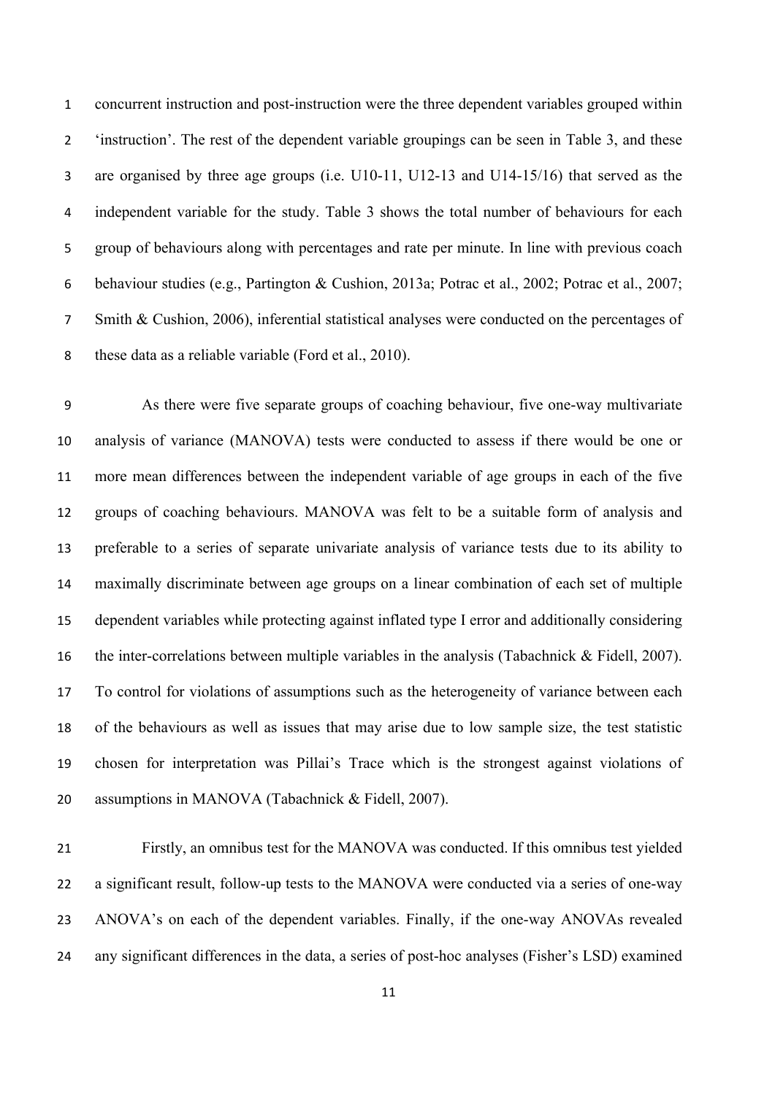concurrent instruction and post-instruction were the three dependent variables grouped within 'instruction'. The rest of the dependent variable groupings can be seen in Table 3, and these are organised by three age groups (i.e. U10-11, U12-13 and U14-15/16) that served as the independent variable for the study. Table 3 shows the total number of behaviours for each group of behaviours along with percentages and rate per minute. In line with previous coach behaviour studies (e.g., Partington & Cushion, 2013a; Potrac et al., 2002; Potrac et al., 2007; Smith & Cushion, 2006), inferential statistical analyses were conducted on the percentages of these data as a reliable variable (Ford et al., 2010).

 As there were five separate groups of coaching behaviour, five one-way multivariate analysis of variance (MANOVA) tests were conducted to assess if there would be one or more mean differences between the independent variable of age groups in each of the five groups of coaching behaviours. MANOVA was felt to be a suitable form of analysis and preferable to a series of separate univariate analysis of variance tests due to its ability to maximally discriminate between age groups on a linear combination of each set of multiple dependent variables while protecting against inflated type I error and additionally considering the inter-correlations between multiple variables in the analysis (Tabachnick & Fidell, 2007). To control for violations of assumptions such as the heterogeneity of variance between each of the behaviours as well as issues that may arise due to low sample size, the test statistic chosen for interpretation was Pillai's Trace which is the strongest against violations of assumptions in MANOVA (Tabachnick & Fidell, 2007).

 Firstly, an omnibus test for the MANOVA was conducted. If this omnibus test yielded a significant result, follow-up tests to the MANOVA were conducted via a series of one-way ANOVA's on each of the dependent variables. Finally, if the one-way ANOVAs revealed any significant differences in the data, a series of post-hoc analyses (Fisher's LSD) examined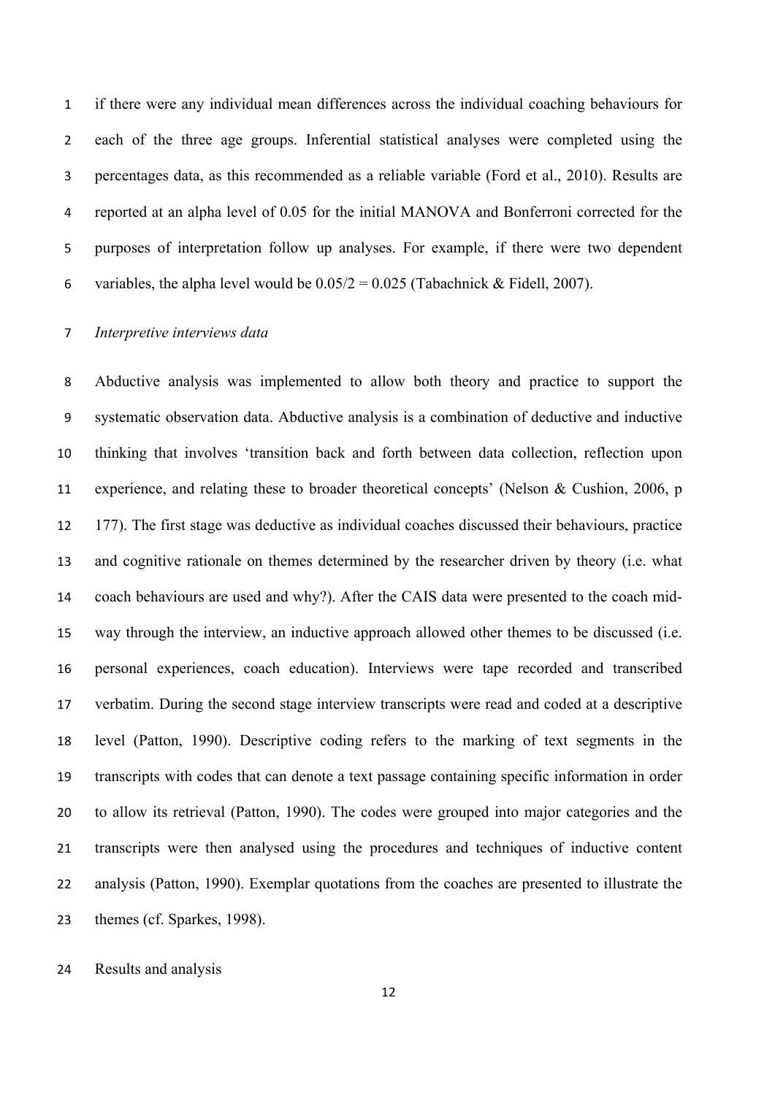if there were any individual mean differences across the individual coaching behaviours for each of the three age groups. Inferential statistical analyses were completed using the percentages data, as this recommended as a reliable variable (Ford et al., 2010). Results are reported at an alpha level of 0.05 for the initial MANOVA and Bonferroni corrected for the purposes of interpretation follow up analyses. For example, if there were two dependent 6 variables, the alpha level would be  $0.05/2 = 0.025$  (Tabachnick & Fidell, 2007).

### *Interpretive interviews data*

 Abductive analysis was implemented to allow both theory and practice to support the systematic observation data. Abductive analysis is a combination of deductive and inductive thinking that involves 'transition back and forth between data collection, reflection upon experience, and relating these to broader theoretical concepts' (Nelson & Cushion, 2006, p 177). The first stage was deductive as individual coaches discussed their behaviours, practice and cognitive rationale on themes determined by the researcher driven by theory (i.e. what coach behaviours are used and why?). After the CAIS data were presented to the coach mid- way through the interview, an inductive approach allowed other themes to be discussed (i.e. personal experiences, coach education). Interviews were tape recorded and transcribed verbatim. During the second stage interview transcripts were read and coded at a descriptive level (Patton, 1990). Descriptive coding refers to the marking of text segments in the transcripts with codes that can denote a text passage containing specific information in order to allow its retrieval (Patton, 1990). The codes were grouped into major categories and the transcripts were then analysed using the procedures and techniques of inductive content analysis (Patton, 1990). Exemplar quotations from the coaches are presented to illustrate the themes (cf. Sparkes, 1998).

Results and analysis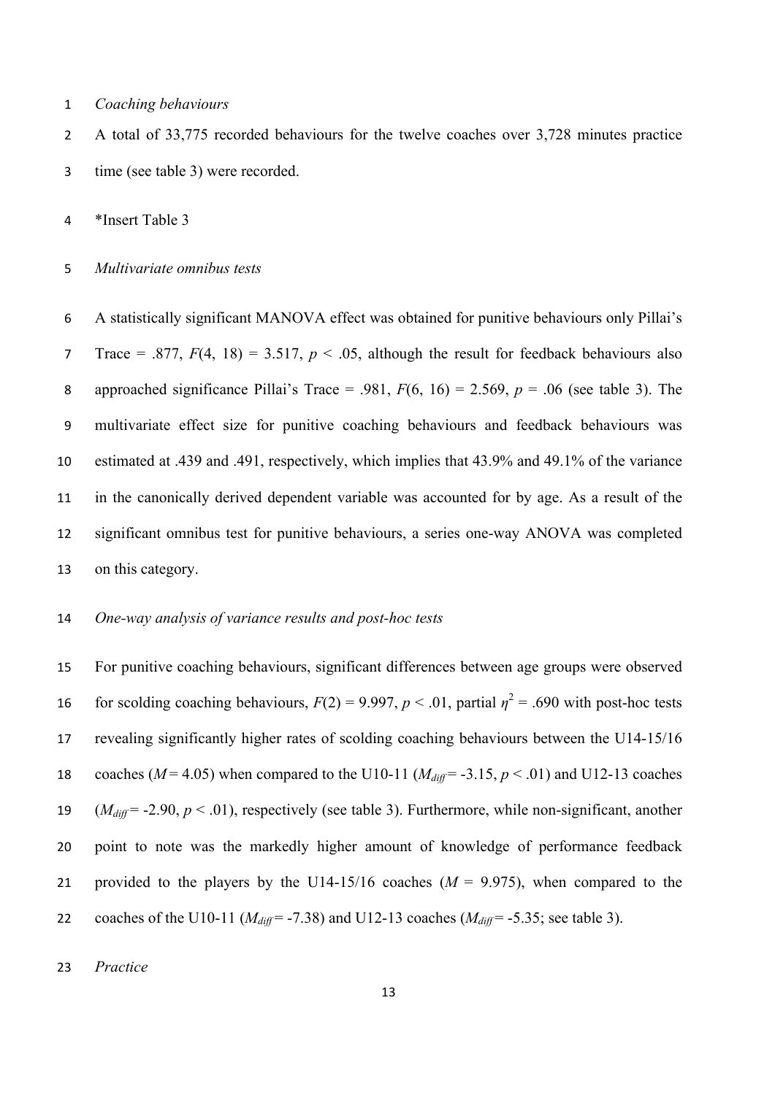*Coaching behaviours*

 A total of 33,775 recorded behaviours for the twelve coaches over 3,728 minutes practice time (see table 3) were recorded.

\*Insert Table 3

*Multivariate omnibus tests*

 A statistically significant MANOVA effect was obtained for punitive behaviours only Pillai's 7 Trace = .877,  $F(4, 18) = 3.517$ ,  $p < .05$ , although the result for feedback behaviours also 8 approached significance Pillai's Trace = .981,  $F(6, 16) = 2.569$ ,  $p = .06$  (see table 3). The multivariate effect size for punitive coaching behaviours and feedback behaviours was estimated at .439 and .491, respectively, which implies that 43.9% and 49.1% of the variance in the canonically derived dependent variable was accounted for by age. As a result of the significant omnibus test for punitive behaviours, a series one-way ANOVA was completed on this category.

# *One-way analysis of variance results and post-hoc tests*

 For punitive coaching behaviours, significant differences between age groups were observed for scolding coaching behaviours,  $F(2) = 9.997$ ,  $p < .01$ , partial  $\eta^2 = .690$  with post-hoc tests revealing significantly higher rates of scolding coaching behaviours between the U14-15/16 18 coaches ( $M = 4.05$ ) when compared to the U10-11 ( $M_{diff} = -3.15$ ,  $p < .01$ ) and U12-13 coaches (*Mdiff* = -2.90, *p* < .01), respectively (see table 3). Furthermore, while non-significant, another point to note was the markedly higher amount of knowledge of performance feedback 21 provided to the players by the U14-15/16 coaches  $(M = 9.975)$ , when compared to the 22 coaches of the U10-11 ( $M_{diff}$  = -7.38) and U12-13 coaches ( $M_{diff}$  = -5.35; see table 3).

*Practice*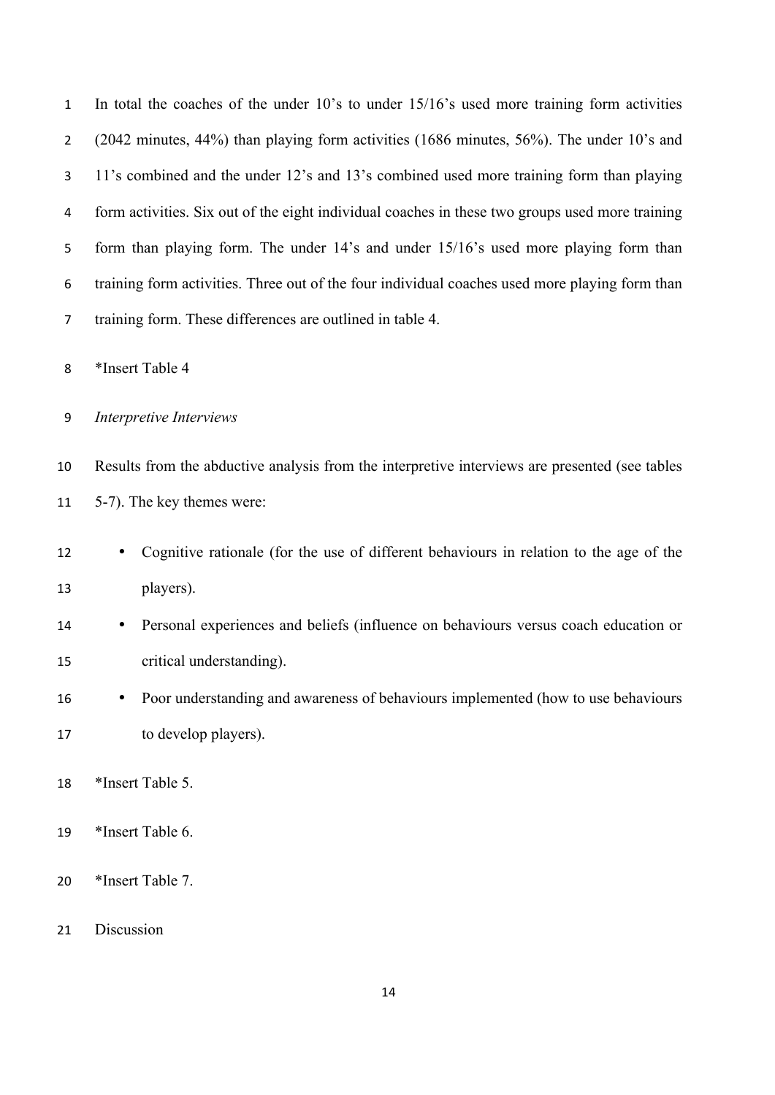| $\mathbf{1}$   | In total the coaches of the under 10's to under 15/16's used more training form activities      |
|----------------|-------------------------------------------------------------------------------------------------|
| $\overline{2}$ | (2042 minutes, 44%) than playing form activities (1686 minutes, 56%). The under 10's and        |
| 3              | 11's combined and the under 12's and 13's combined used more training form than playing         |
| 4              | form activities. Six out of the eight individual coaches in these two groups used more training |
| 5              | form than playing form. The under 14's and under 15/16's used more playing form than            |
| 6              | training form activities. Three out of the four individual coaches used more playing form than  |
| 7              | training form. These differences are outlined in table 4.                                       |
| 8              | *Insert Table 4                                                                                 |
| 9              | Interpretive Interviews                                                                         |
| 10             | Results from the abductive analysis from the interpretive interviews are presented (see tables  |
| 11             | 5-7). The key themes were:                                                                      |
| 12             | Cognitive rationale (for the use of different behaviours in relation to the age of the          |
| 13             | players).                                                                                       |
| 14             | Personal experiences and beliefs (influence on behaviours versus coach education or             |
| 15             | critical understanding).                                                                        |
| 16             | Poor understanding and awareness of behaviours implemented (how to use behaviours               |
| 17             | to develop players).                                                                            |
| 18             | *Insert Table 5.                                                                                |
| 19             | *Insert Table 6.                                                                                |
| 20             | *Insert Table 7.                                                                                |
| 21             | Discussion                                                                                      |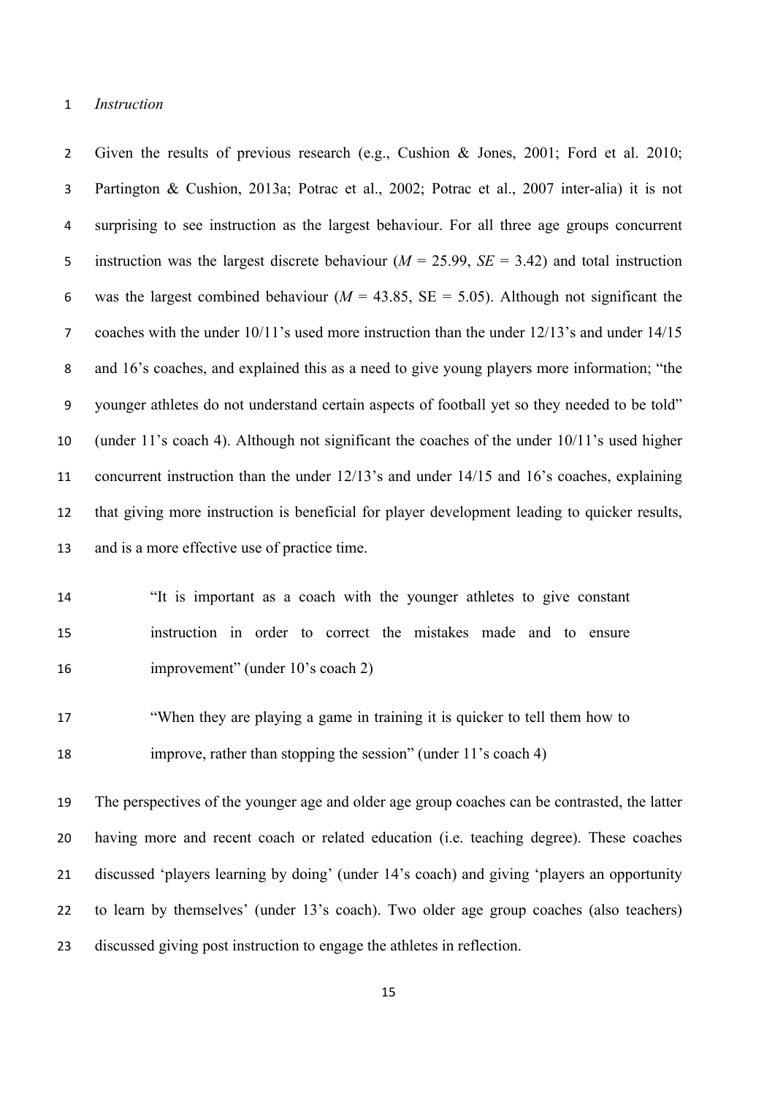# *Instruction*

 Given the results of previous research (e.g., Cushion & Jones, 2001; Ford et al. 2010; Partington & Cushion, 2013a; Potrac et al., 2002; Potrac et al., 2007 inter-alia) it is not surprising to see instruction as the largest behaviour. For all three age groups concurrent instruction was the largest discrete behaviour (*M* = 25.99, *SE* = 3.42) and total instruction 6 was the largest combined behaviour ( $M = 43.85$ ,  $SE = 5.05$ ). Although not significant the coaches with the under 10/11's used more instruction than the under 12/13's and under 14/15 and 16's coaches, and explained this as a need to give young players more information; "the younger athletes do not understand certain aspects of football yet so they needed to be told" (under 11's coach 4). Although not significant the coaches of the under 10/11's used higher concurrent instruction than the under 12/13's and under 14/15 and 16's coaches, explaining that giving more instruction is beneficial for player development leading to quicker results, and is a more effective use of practice time.

 "It is important as a coach with the younger athletes to give constant instruction in order to correct the mistakes made and to ensure 16 improvement" (under 10's coach 2)

 "When they are playing a game in training it is quicker to tell them how to improve, rather than stopping the session" (under 11's coach 4)

 The perspectives of the younger age and older age group coaches can be contrasted, the latter having more and recent coach or related education (i.e. teaching degree). These coaches discussed 'players learning by doing' (under 14's coach) and giving 'players an opportunity to learn by themselves' (under 13's coach). Two older age group coaches (also teachers) discussed giving post instruction to engage the athletes in reflection.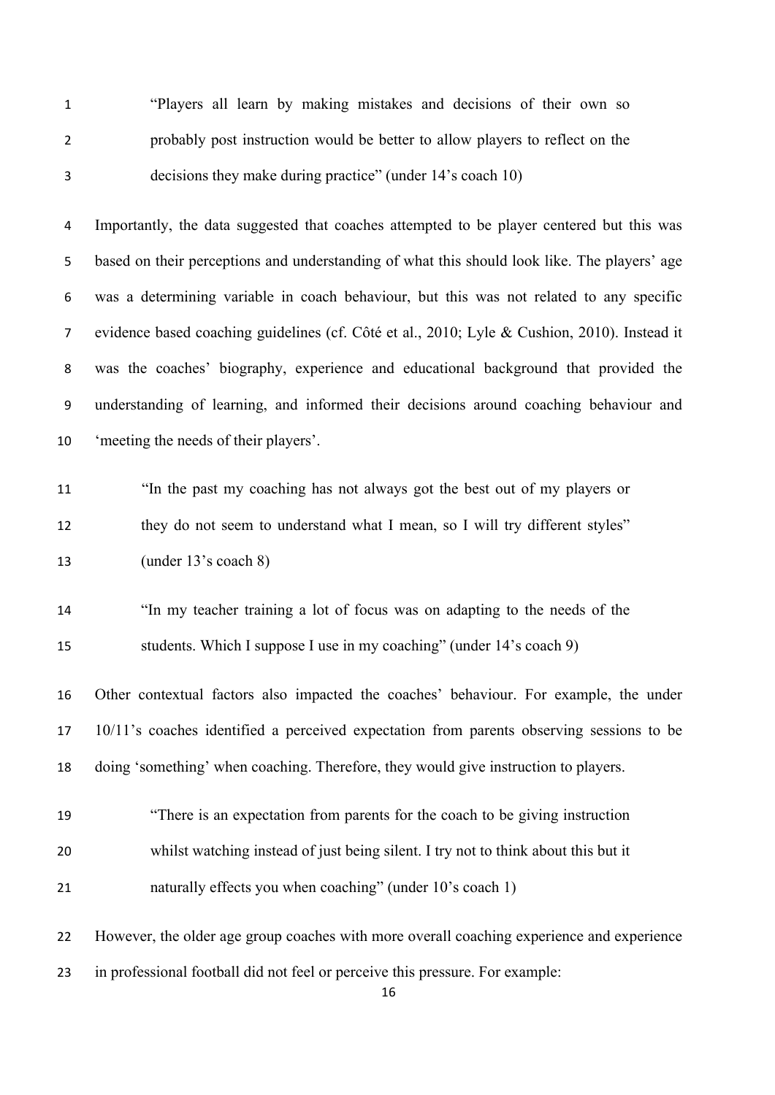| $\mathbf{1}$   | "Players all learn by making mistakes and decisions of their own so                          |
|----------------|----------------------------------------------------------------------------------------------|
| $\overline{2}$ | probably post instruction would be better to allow players to reflect on the                 |
| $\mathsf 3$    | decisions they make during practice" (under 14's coach 10)                                   |
| 4              | Importantly, the data suggested that coaches attempted to be player centered but this was    |
| 5              | based on their perceptions and understanding of what this should look like. The players' age |
| 6              | was a determining variable in coach behaviour, but this was not related to any specific      |
| 7              | evidence based coaching guidelines (cf. Côté et al., 2010; Lyle & Cushion, 2010). Instead it |
| 8              | was the coaches' biography, experience and educational background that provided the          |
| 9              | understanding of learning, and informed their decisions around coaching behaviour and        |
| 10             | 'meeting the needs of their players'.                                                        |
| 11             | "In the past my coaching has not always got the best out of my players or                    |
| 12             | they do not seem to understand what I mean, so I will try different styles"                  |
| 13             | (under 13's coach 8)                                                                         |
| 14             | "In my teacher training a lot of focus was on adapting to the needs of the                   |
| 15             | students. Which I suppose I use in my coaching" (under 14's coach 9)                         |
| 16             | Other contextual factors also impacted the coaches' behaviour. For example, the under        |
| 17             | 10/11's coaches identified a perceived expectation from parents observing sessions to be     |
| 18             | doing 'something' when coaching. Therefore, they would give instruction to players.          |
| 19             | "There is an expectation from parents for the coach to be giving instruction                 |
| 20             | whilst watching instead of just being silent. I try not to think about this but it           |
| 21             | naturally effects you when coaching" (under 10's coach 1)                                    |
| 22             | However, the older age group coaches with more overall coaching experience and experience    |
| 23             | in professional football did not feel or perceive this pressure. For example:                |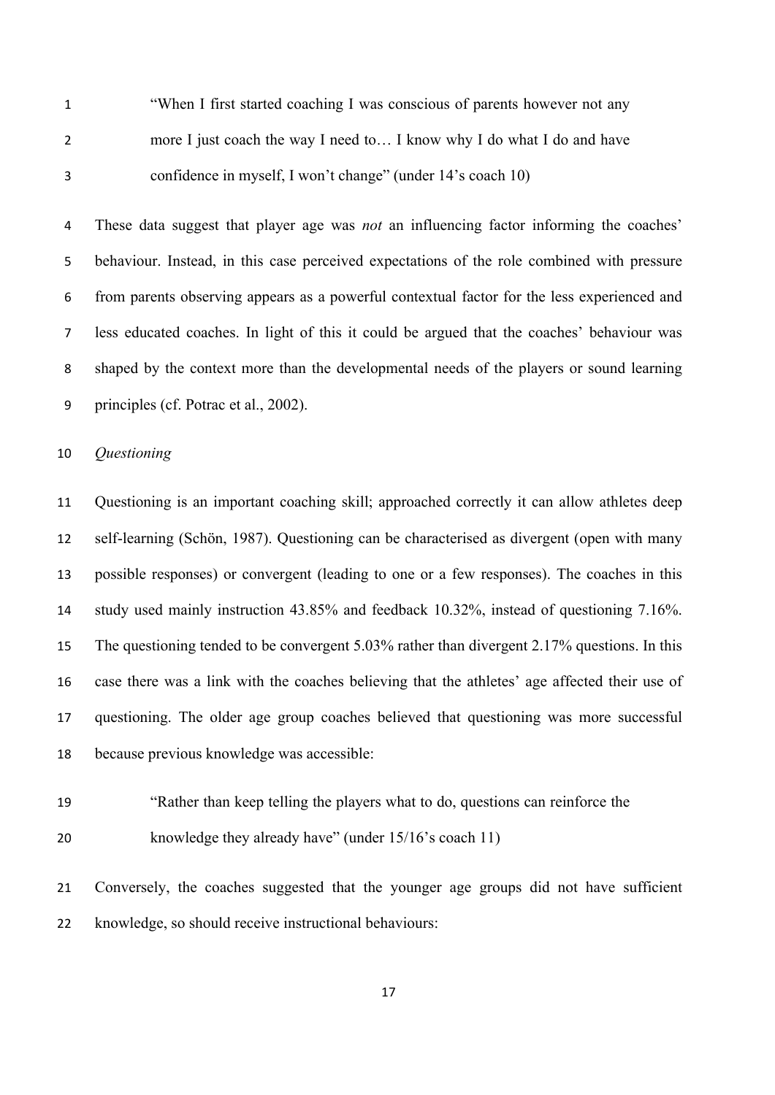"When I first started coaching I was conscious of parents however not any more I just coach the way I need to… I know why I do what I do and have confidence in myself, I won't change" (under 14's coach 10)

 These data suggest that player age was *not* an influencing factor informing the coaches' behaviour. Instead, in this case perceived expectations of the role combined with pressure from parents observing appears as a powerful contextual factor for the less experienced and less educated coaches. In light of this it could be argued that the coaches' behaviour was shaped by the context more than the developmental needs of the players or sound learning principles (cf. Potrac et al., 2002).

# *Questioning*

 Questioning is an important coaching skill; approached correctly it can allow athletes deep self-learning (Schön, 1987). Questioning can be characterised as divergent (open with many possible responses) or convergent (leading to one or a few responses). The coaches in this study used mainly instruction 43.85% and feedback 10.32%, instead of questioning 7.16%. The questioning tended to be convergent 5.03% rather than divergent 2.17% questions. In this case there was a link with the coaches believing that the athletes' age affected their use of questioning. The older age group coaches believed that questioning was more successful because previous knowledge was accessible:

 "Rather than keep telling the players what to do, questions can reinforce the knowledge they already have" (under 15/16's coach 11)

 Conversely, the coaches suggested that the younger age groups did not have sufficient knowledge, so should receive instructional behaviours: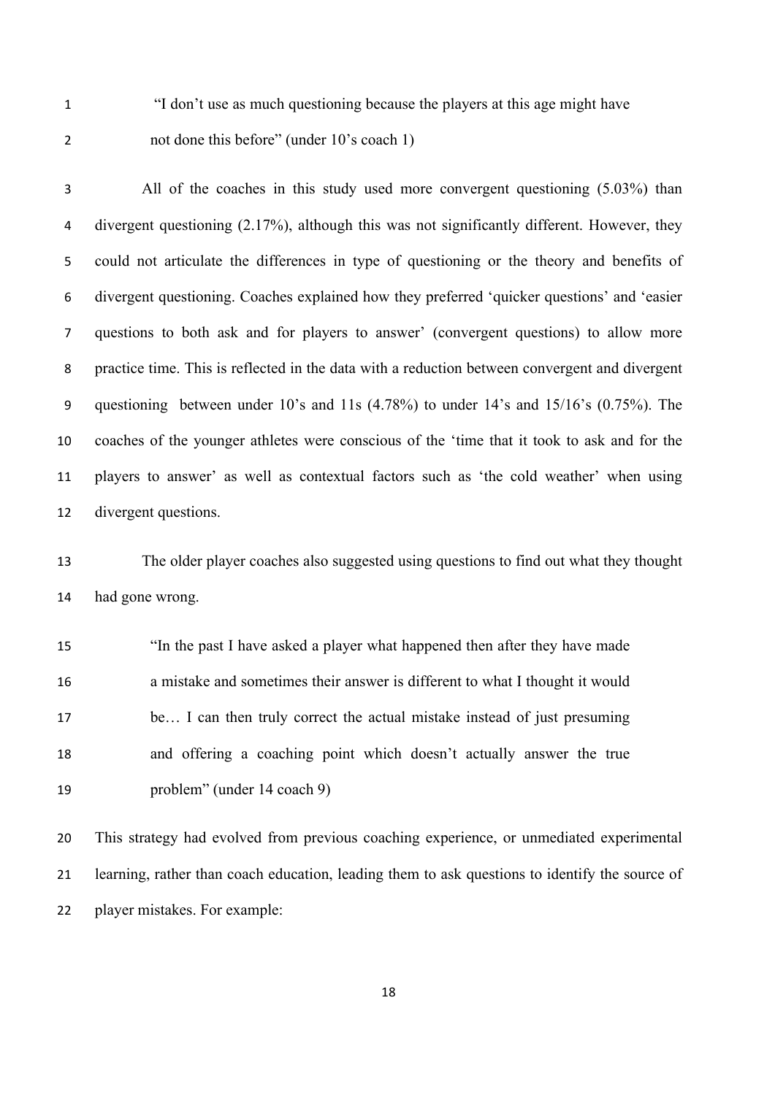"I don't use as much questioning because the players at this age might have not done this before" (under 10's coach 1)

| 3  | All of the coaches in this study used more convergent questioning (5.03%) than                  |
|----|-------------------------------------------------------------------------------------------------|
| 4  | divergent questioning $(2.17\%)$ , although this was not significantly different. However, they |
| 5  | could not articulate the differences in type of questioning or the theory and benefits of       |
| 6  | divergent questioning. Coaches explained how they preferred 'quicker questions' and 'easier     |
| 7  | questions to both ask and for players to answer' (convergent questions) to allow more           |
| 8  | practice time. This is reflected in the data with a reduction between convergent and divergent  |
| 9  | questioning between under 10's and 11s (4.78%) to under 14's and 15/16's (0.75%). The           |
| 10 | coaches of the younger athletes were conscious of the 'time that it took to ask and for the     |
| 11 | players to answer' as well as contextual factors such as 'the cold weather' when using          |
| 12 | divergent questions.                                                                            |
|    |                                                                                                 |

 The older player coaches also suggested using questions to find out what they thought had gone wrong.

 "In the past I have asked a player what happened then after they have made a mistake and sometimes their answer is different to what I thought it would be… I can then truly correct the actual mistake instead of just presuming and offering a coaching point which doesn't actually answer the true problem" (under 14 coach 9)

 This strategy had evolved from previous coaching experience, or unmediated experimental learning, rather than coach education, leading them to ask questions to identify the source of player mistakes. For example: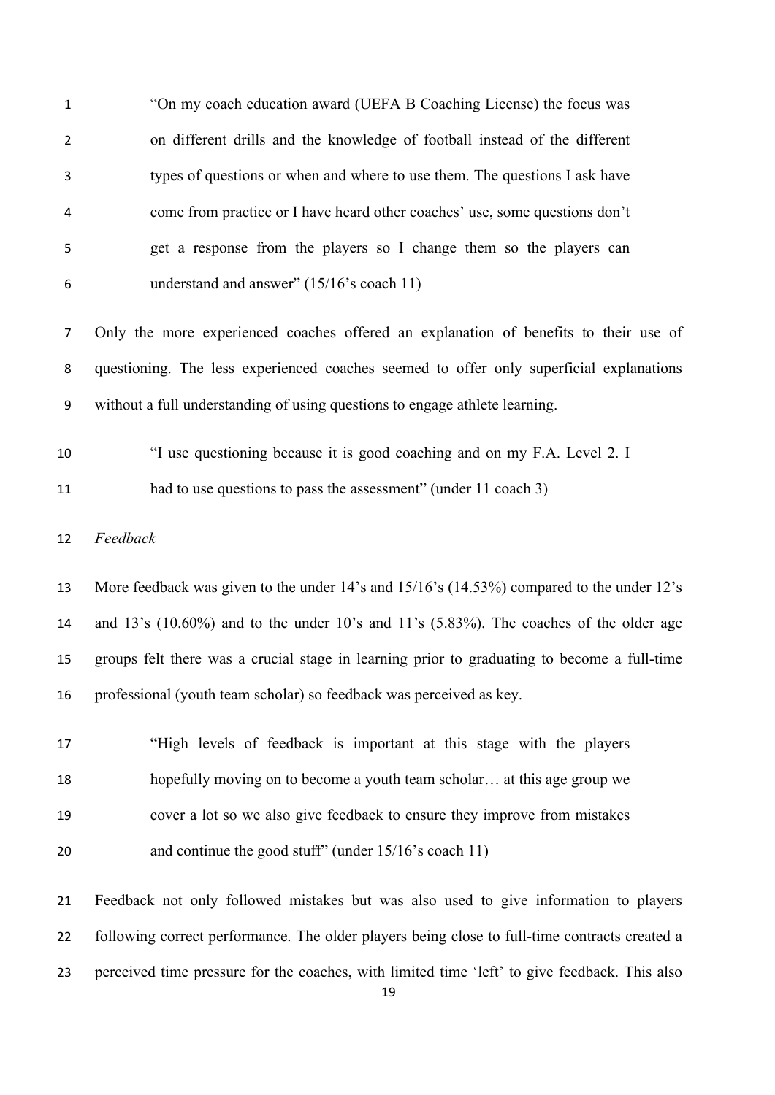| $\mathbf{1}$   | "On my coach education award (UEFA B Coaching License) the focus was                          |
|----------------|-----------------------------------------------------------------------------------------------|
| $\overline{2}$ | on different drills and the knowledge of football instead of the different                    |
| 3              | types of questions or when and where to use them. The questions I ask have                    |
| 4              | come from practice or I have heard other coaches' use, some questions don't                   |
| 5              | get a response from the players so I change them so the players can                           |
| 6              | understand and answer" (15/16's coach 11)                                                     |
| 7              | Only the more experienced coaches offered an explanation of benefits to their use of          |
| 8              | questioning. The less experienced coaches seemed to offer only superficial explanations       |
| 9              | without a full understanding of using questions to engage athlete learning.                   |
| 10             | "I use questioning because it is good coaching and on my F.A. Level 2. I                      |
| 11             | had to use questions to pass the assessment" (under 11 coach 3)                               |
| 12             | Feedback                                                                                      |
| 13             | More feedback was given to the under 14's and 15/16's (14.53%) compared to the under 12's     |
| 14             | and 13's $(10.60\%)$ and to the under 10's and 11's $(5.83\%)$ . The coaches of the older age |
| 15             | groups felt there was a crucial stage in learning prior to graduating to become a full-time   |
| 16             | professional (youth team scholar) so feedback was perceived as key.                           |
| 17             | "High levels of feedback is important at this stage with the players                          |
| 18             | hopefully moving on to become a youth team scholar at this age group we                       |
| 19             | cover a lot so we also give feedback to ensure they improve from mistakes                     |
| 20             | and continue the good stuff" (under 15/16's coach 11)                                         |
| 21             | Feedback not only followed mistakes but was also used to give information to players          |
| 22             | following correct performance. The older players being close to full-time contracts created a |
| 23             | perceived time pressure for the coaches, with limited time 'left' to give feedback. This also |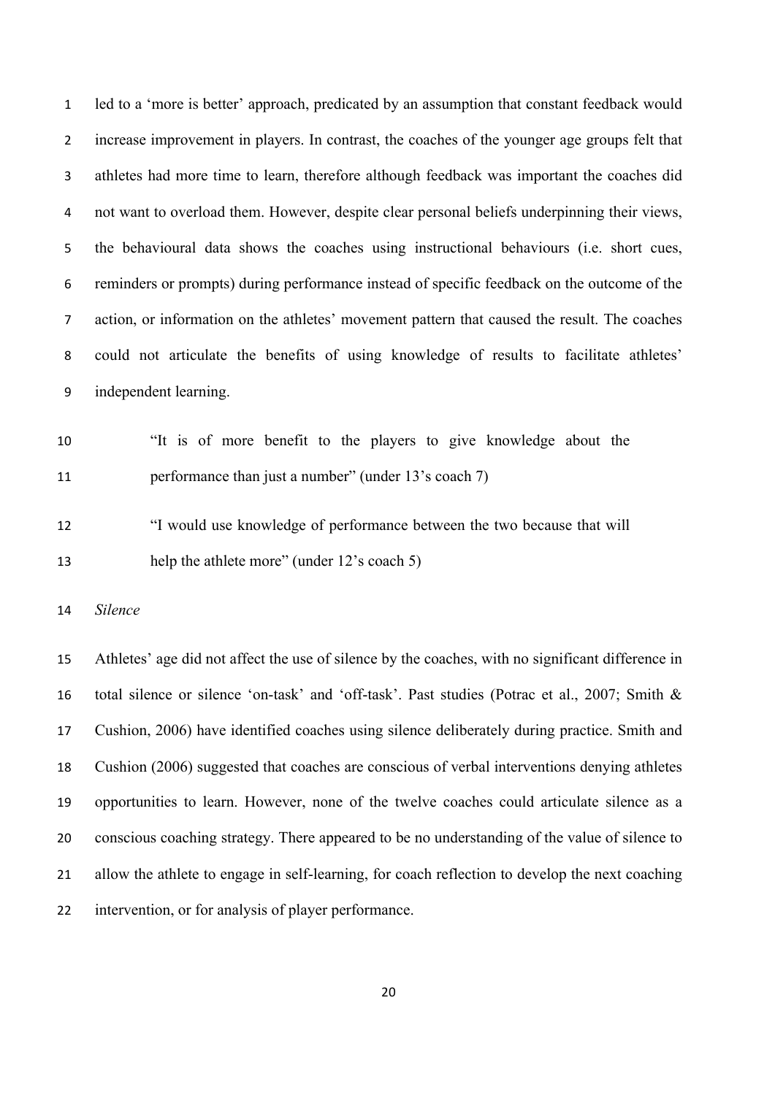led to a 'more is better' approach, predicated by an assumption that constant feedback would increase improvement in players. In contrast, the coaches of the younger age groups felt that athletes had more time to learn, therefore although feedback was important the coaches did not want to overload them. However, despite clear personal beliefs underpinning their views, the behavioural data shows the coaches using instructional behaviours (i.e. short cues, reminders or prompts) during performance instead of specific feedback on the outcome of the action, or information on the athletes' movement pattern that caused the result. The coaches could not articulate the benefits of using knowledge of results to facilitate athletes' independent learning.

 "It is of more benefit to the players to give knowledge about the 11 performance than just a number" (under 13's coach 7)

 "I would use knowledge of performance between the two because that will help the athlete more" (under 12's coach 5)

*Silence* 

 Athletes' age did not affect the use of silence by the coaches, with no significant difference in total silence or silence 'on-task' and 'off-task'. Past studies (Potrac et al., 2007; Smith & Cushion, 2006) have identified coaches using silence deliberately during practice. Smith and Cushion (2006) suggested that coaches are conscious of verbal interventions denying athletes opportunities to learn. However, none of the twelve coaches could articulate silence as a conscious coaching strategy. There appeared to be no understanding of the value of silence to allow the athlete to engage in self-learning, for coach reflection to develop the next coaching intervention, or for analysis of player performance.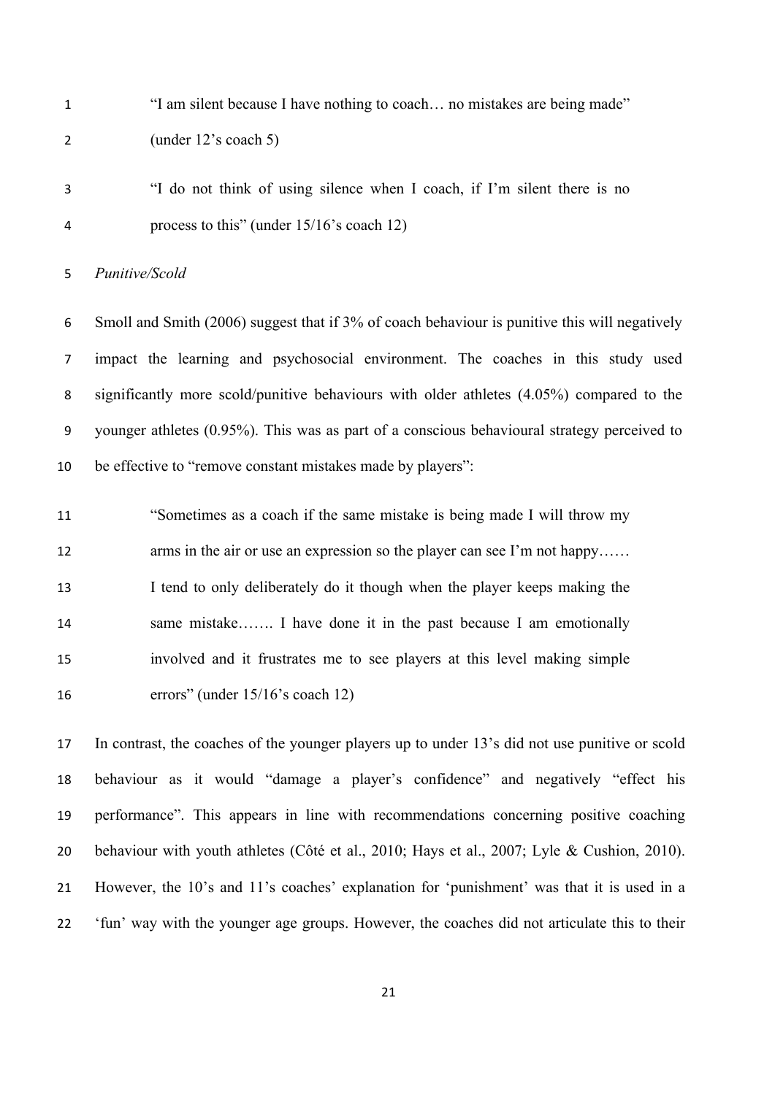"I am silent because I have nothing to coach… no mistakes are being made" (under 12's coach 5)

 "I do not think of using silence when I coach, if I'm silent there is no process to this" (under 15/16's coach 12)

*Punitive/Scold*

 Smoll and Smith (2006) suggest that if 3% of coach behaviour is punitive this will negatively impact the learning and psychosocial environment. The coaches in this study used significantly more scold/punitive behaviours with older athletes (4.05%) compared to the younger athletes (0.95%). This was as part of a conscious behavioural strategy perceived to be effective to "remove constant mistakes made by players":

 "Sometimes as a coach if the same mistake is being made I will throw my 12 arms in the air or use an expression so the player can see I'm not happy...... I tend to only deliberately do it though when the player keeps making the 14 same mistake……. I have done it in the past because I am emotionally involved and it frustrates me to see players at this level making simple errors" (under 15/16's coach 12)

 In contrast, the coaches of the younger players up to under 13's did not use punitive or scold behaviour as it would "damage a player's confidence" and negatively "effect his performance". This appears in line with recommendations concerning positive coaching behaviour with youth athletes (Côté et al., 2010; Hays et al., 2007; Lyle & Cushion, 2010). However, the 10's and 11's coaches' explanation for 'punishment' was that it is used in a 'fun' way with the younger age groups. However, the coaches did not articulate this to their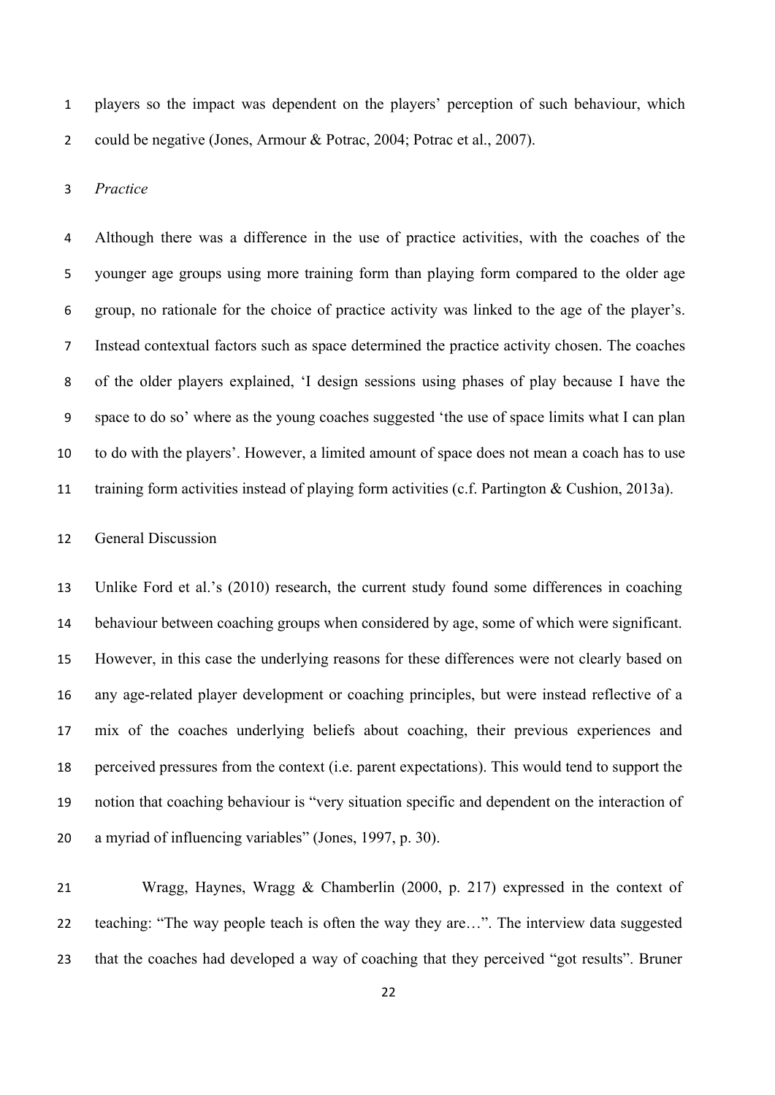players so the impact was dependent on the players' perception of such behaviour, which 2 could be negative (Jones, Armour & Potrac, 2004; Potrac et al., 2007).

#### *Practice*

 Although there was a difference in the use of practice activities, with the coaches of the younger age groups using more training form than playing form compared to the older age group, no rationale for the choice of practice activity was linked to the age of the player's. Instead contextual factors such as space determined the practice activity chosen. The coaches of the older players explained, 'I design sessions using phases of play because I have the space to do so' where as the young coaches suggested 'the use of space limits what I can plan to do with the players'. However, a limited amount of space does not mean a coach has to use training form activities instead of playing form activities (c.f. Partington & Cushion, 2013a).

# General Discussion

 Unlike Ford et al.'s (2010) research, the current study found some differences in coaching behaviour between coaching groups when considered by age, some of which were significant. However, in this case the underlying reasons for these differences were not clearly based on any age-related player development or coaching principles, but were instead reflective of a mix of the coaches underlying beliefs about coaching, their previous experiences and perceived pressures from the context (i.e. parent expectations). This would tend to support the notion that coaching behaviour is "very situation specific and dependent on the interaction of a myriad of influencing variables" (Jones, 1997, p. 30).

 Wragg, Haynes, Wragg & Chamberlin (2000, p. 217) expressed in the context of teaching: "The way people teach is often the way they are…". The interview data suggested that the coaches had developed a way of coaching that they perceived "got results". Bruner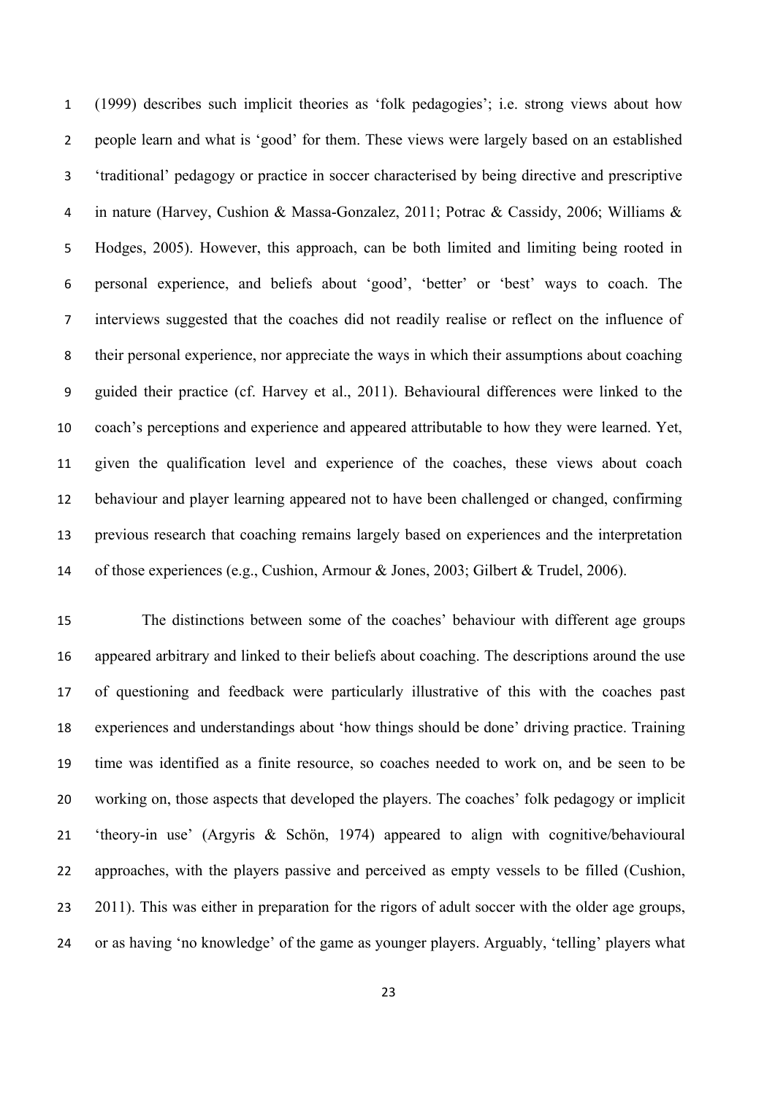(1999) describes such implicit theories as 'folk pedagogies'; i.e. strong views about how people learn and what is 'good' for them. These views were largely based on an established 'traditional' pedagogy or practice in soccer characterised by being directive and prescriptive in nature (Harvey, Cushion & Massa-Gonzalez, 2011; Potrac & Cassidy, 2006; Williams & Hodges, 2005). However, this approach, can be both limited and limiting being rooted in personal experience, and beliefs about 'good', 'better' or 'best' ways to coach. The interviews suggested that the coaches did not readily realise or reflect on the influence of their personal experience, nor appreciate the ways in which their assumptions about coaching guided their practice (cf. Harvey et al., 2011). Behavioural differences were linked to the coach's perceptions and experience and appeared attributable to how they were learned. Yet, given the qualification level and experience of the coaches, these views about coach behaviour and player learning appeared not to have been challenged or changed, confirming previous research that coaching remains largely based on experiences and the interpretation of those experiences (e.g., Cushion, Armour & Jones, 2003; Gilbert & Trudel, 2006).

 The distinctions between some of the coaches' behaviour with different age groups appeared arbitrary and linked to their beliefs about coaching. The descriptions around the use of questioning and feedback were particularly illustrative of this with the coaches past experiences and understandings about 'how things should be done' driving practice. Training time was identified as a finite resource, so coaches needed to work on, and be seen to be working on, those aspects that developed the players. The coaches' folk pedagogy or implicit 'theory-in use' (Argyris & Schön, 1974) appeared to align with cognitive/behavioural approaches, with the players passive and perceived as empty vessels to be filled (Cushion, 23 2011). This was either in preparation for the rigors of adult soccer with the older age groups, or as having 'no knowledge' of the game as younger players. Arguably, 'telling' players what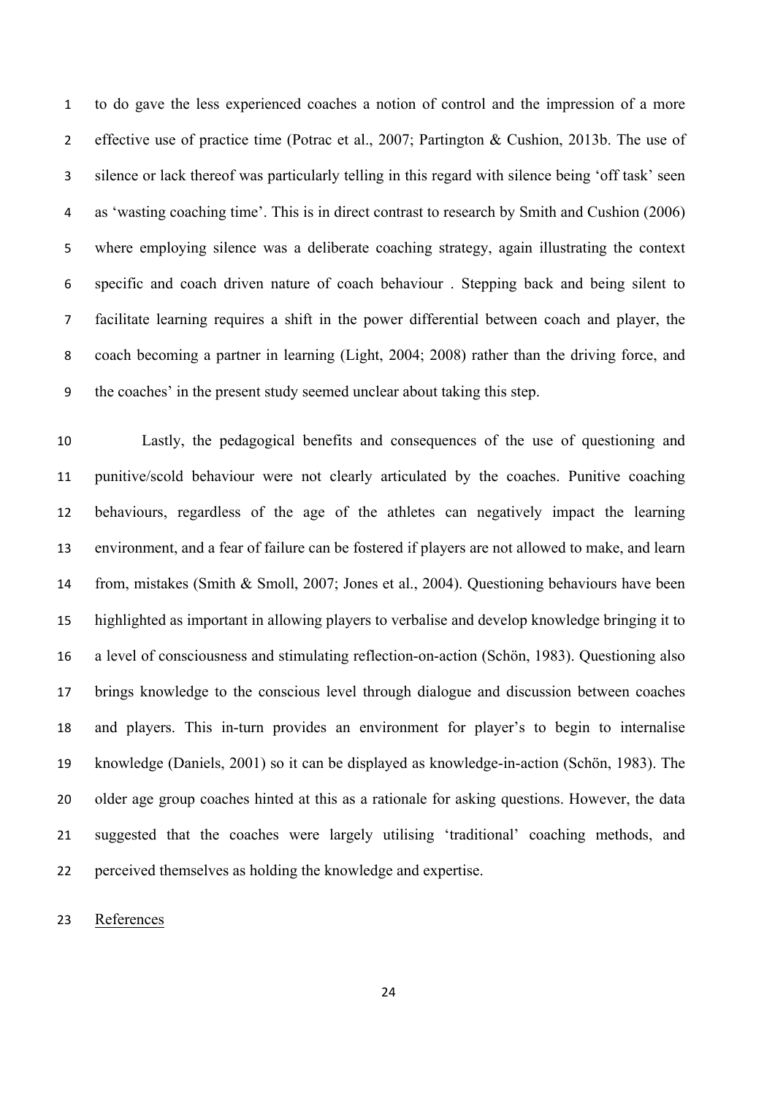to do gave the less experienced coaches a notion of control and the impression of a more 2 effective use of practice time (Potrac et al., 2007; Partington & Cushion, 2013b. The use of silence or lack thereof was particularly telling in this regard with silence being 'off task' seen as 'wasting coaching time'. This is in direct contrast to research by Smith and Cushion (2006) where employing silence was a deliberate coaching strategy, again illustrating the context specific and coach driven nature of coach behaviour . Stepping back and being silent to facilitate learning requires a shift in the power differential between coach and player, the coach becoming a partner in learning (Light, 2004; 2008) rather than the driving force, and the coaches' in the present study seemed unclear about taking this step.

 Lastly, the pedagogical benefits and consequences of the use of questioning and punitive/scold behaviour were not clearly articulated by the coaches. Punitive coaching behaviours, regardless of the age of the athletes can negatively impact the learning environment, and a fear of failure can be fostered if players are not allowed to make, and learn from, mistakes (Smith & Smoll, 2007; Jones et al., 2004). Questioning behaviours have been highlighted as important in allowing players to verbalise and develop knowledge bringing it to a level of consciousness and stimulating reflection-on-action (Schön, 1983). Questioning also brings knowledge to the conscious level through dialogue and discussion between coaches and players. This in-turn provides an environment for player's to begin to internalise knowledge (Daniels, 2001) so it can be displayed as knowledge-in-action (Schön, 1983). The older age group coaches hinted at this as a rationale for asking questions. However, the data suggested that the coaches were largely utilising 'traditional' coaching methods, and perceived themselves as holding the knowledge and expertise.

References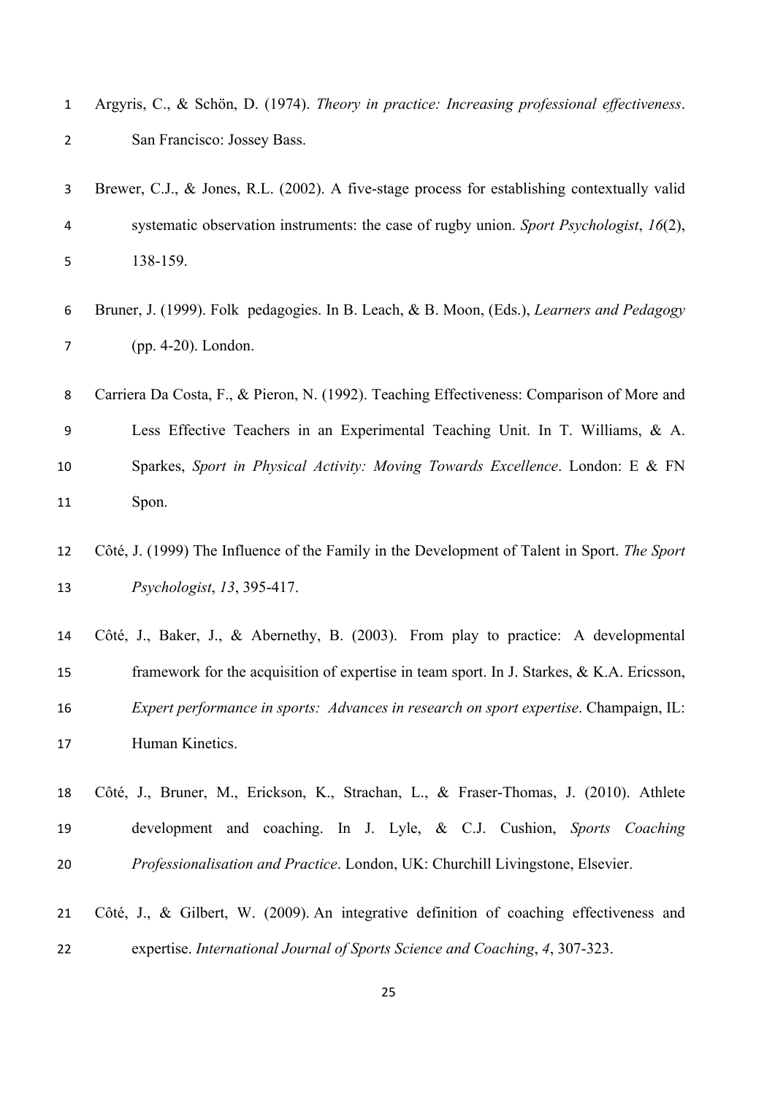| $\mathbf{1}$   | Argyris, C., & Schön, D. (1974). Theory in practice: Increasing professional effectiveness.  |
|----------------|----------------------------------------------------------------------------------------------|
| $\overline{2}$ | San Francisco: Jossey Bass.                                                                  |
| 3              | Brewer, C.J., & Jones, R.L. (2002). A five-stage process for establishing contextually valid |
| 4              | systematic observation instruments: the case of rugby union. Sport Psychologist, $16(2)$ ,   |
| 5              | 138-159.                                                                                     |
| 6              | Bruner, J. (1999). Folk pedagogies. In B. Leach, & B. Moon, (Eds.), Learners and Pedagogy    |
| 7              | $(pp. 4-20)$ . London.                                                                       |

 Carriera Da Costa, F., & Pieron, N. (1992). Teaching Effectiveness: Comparison of More and Less Effective Teachers in an Experimental Teaching Unit. In T. Williams, & A. Sparkes, *Sport in Physical Activity: Moving Towards Excellence*. London: E & FN Spon.

 Côté, J., Baker, J., & Abernethy, B. (2003). From play to practice: A developmental framework for the acquisition of expertise in team sport. In J. Starkes, & K.A. Ericsson, *Expert performance in sports: Advances in research on sport expertise*. Champaign, IL: Human Kinetics.

- Côté, J., Bruner, M., Erickson, K., Strachan, L., & Fraser-Thomas, J. (2010). Athlete development and coaching. In J. Lyle, & C.J. Cushion, *Sports Coaching Professionalisation and Practice*. London, UK: Churchill Livingstone, Elsevier.
- Côté, J., & Gilbert, W. (2009). An integrative definition of coaching effectiveness and expertise. *International Journal of Sports Science and Coaching*, *4*, 307-323.

 Côté, J. (1999) The Influence of the Family in the Development of Talent in Sport. *The Sport Psychologist*, *13*, 395-417.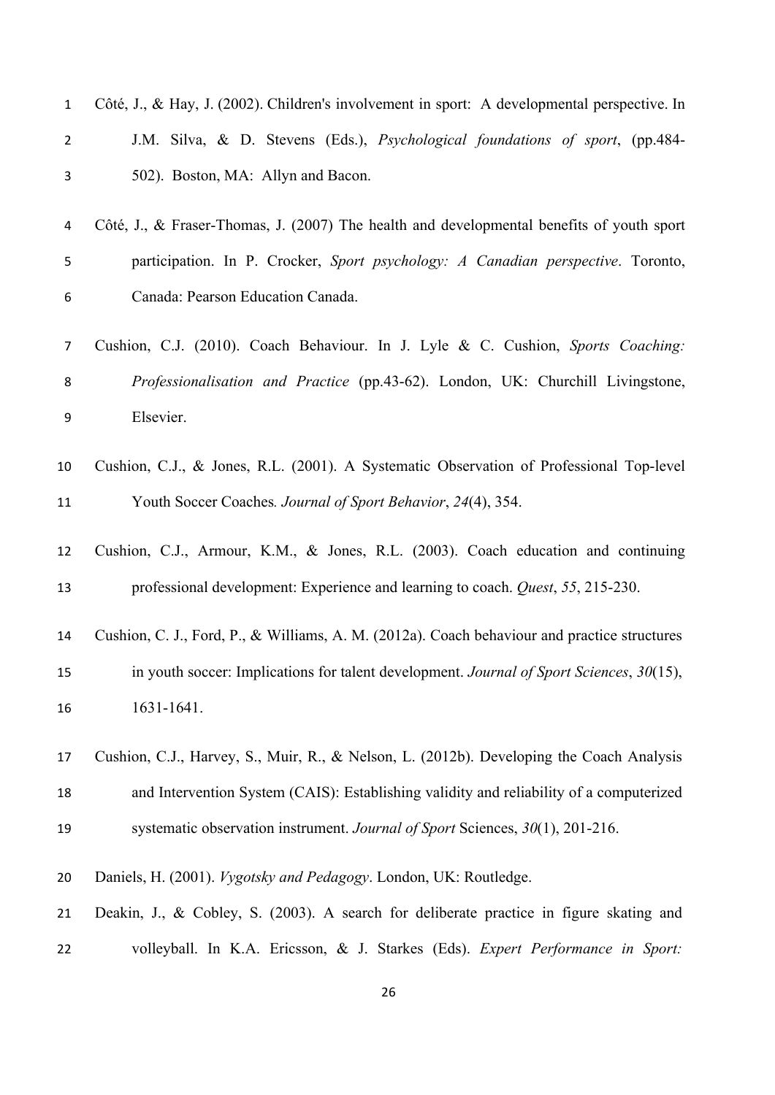| $\mathbf 1$    | Côté, J., & Hay, J. (2002). Children's involvement in sport: A developmental perspective. In |
|----------------|----------------------------------------------------------------------------------------------|
| $\overline{2}$ | J.M. Silva, & D. Stevens (Eds.), Psychological foundations of sport, (pp.484-                |
| 3              | 502). Boston, MA: Allyn and Bacon.                                                           |
| 4              | Côté, J., & Fraser-Thomas, J. (2007) The health and developmental benefits of youth sport    |
| 5              | participation. In P. Crocker, Sport psychology: A Canadian perspective. Toronto,             |
| 6              | Canada: Pearson Education Canada.                                                            |
| 7              | Cushion, C.J. (2010). Coach Behaviour. In J. Lyle & C. Cushion, Sports Coaching:             |
| 8              | Professionalisation and Practice (pp.43-62). London, UK: Churchill Livingstone,              |
| 9              | Elsevier.                                                                                    |
| 10             | Cushion, C.J., & Jones, R.L. (2001). A Systematic Observation of Professional Top-level      |
| 11             | Youth Soccer Coaches. Journal of Sport Behavior, 24(4), 354.                                 |
| 12             | Cushion, C.J., Armour, K.M., & Jones, R.L. (2003). Coach education and continuing            |
| 13             | professional development: Experience and learning to coach. Quest, 55, 215-230.              |
| 14             | Cushion, C. J., Ford, P., & Williams, A. M. (2012a). Coach behaviour and practice structures |
| 15             | in youth soccer: Implications for talent development. Journal of Sport Sciences, 30(15),     |
| 16             | 1631-1641.                                                                                   |
| 17             | Cushion, C.J., Harvey, S., Muir, R., & Nelson, L. (2012b). Developing the Coach Analysis     |
| 18             | and Intervention System (CAIS): Establishing validity and reliability of a computerized      |
| 19             | systematic observation instrument. Journal of Sport Sciences, 30(1), 201-216.                |
| 20             | Daniels, H. (2001). Vygotsky and Pedagogy. London, UK: Routledge.                            |
| 21             | Deakin, J., & Cobley, S. (2003). A search for deliberate practice in figure skating and      |
| 22             | volleyball. In K.A. Ericsson, & J. Starkes (Eds). Expert Performance in Sport:               |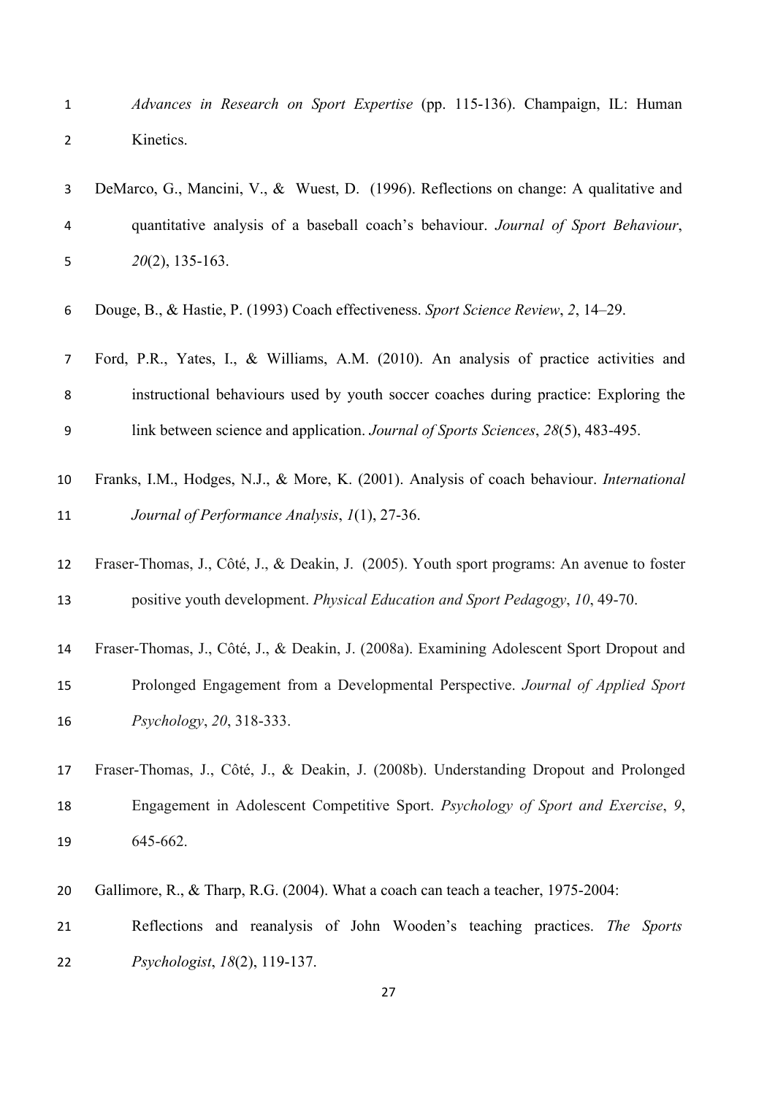*Advances in Research on Sport Expertise* (pp. 115-136). Champaign, IL: Human Kinetics.

| 3                       | DeMarco, G., Mancini, V., & Wuest, D. (1996). Reflections on change: A qualitative and                                                                                       |
|-------------------------|------------------------------------------------------------------------------------------------------------------------------------------------------------------------------|
| $\overline{\mathbf{4}}$ | quantitative analysis of a baseball coach's behaviour. Journal of Sport Behaviour,                                                                                           |
| 5                       | $20(2)$ , 135-163.                                                                                                                                                           |
| 6                       | Douge, B., & Hastie, P. (1993) Coach effectiveness. Sport Science Review, 2, 14–29.                                                                                          |
| 7                       | Ford, P.R., Yates, I., & Williams, A.M. (2010). An analysis of practice activities and                                                                                       |
| 8                       | instructional behaviours used by youth soccer coaches during practice: Exploring the                                                                                         |
| 9                       | link between science and application. Journal of Sports Sciences, 28(5), 483-495.                                                                                            |
| 10<br>11                | Franks, I.M., Hodges, N.J., & More, K. (2001). Analysis of coach behaviour. International<br>Journal of Performance Analysis, 1(1), 27-36.                                   |
| 12<br>13                | Fraser-Thomas, J., Côté, J., & Deakin, J. (2005). Youth sport programs: An avenue to foster<br>positive youth development. Physical Education and Sport Pedagogy, 10, 49-70. |
| 14                      | Fraser-Thomas, J., Côté, J., & Deakin, J. (2008a). Examining Adolescent Sport Dropout and                                                                                    |
| 15                      | Prolonged Engagement from a Developmental Perspective. Journal of Applied Sport                                                                                              |
| 16                      | Psychology, 20, 318-333.                                                                                                                                                     |
| 17                      | Fraser-Thomas, J., Côté, J., & Deakin, J. (2008b). Understanding Dropout and Prolonged                                                                                       |
| 18                      | Engagement in Adolescent Competitive Sport. Psychology of Sport and Exercise, 9,                                                                                             |
| 19                      | 645-662.                                                                                                                                                                     |
| 20                      | Gallimore, R., & Tharp, R.G. (2004). What a coach can teach a teacher, 1975-2004:                                                                                            |

 Reflections and reanalysis of John Wooden's teaching practices. *The Sports Psychologist*, *18*(2), 119-137.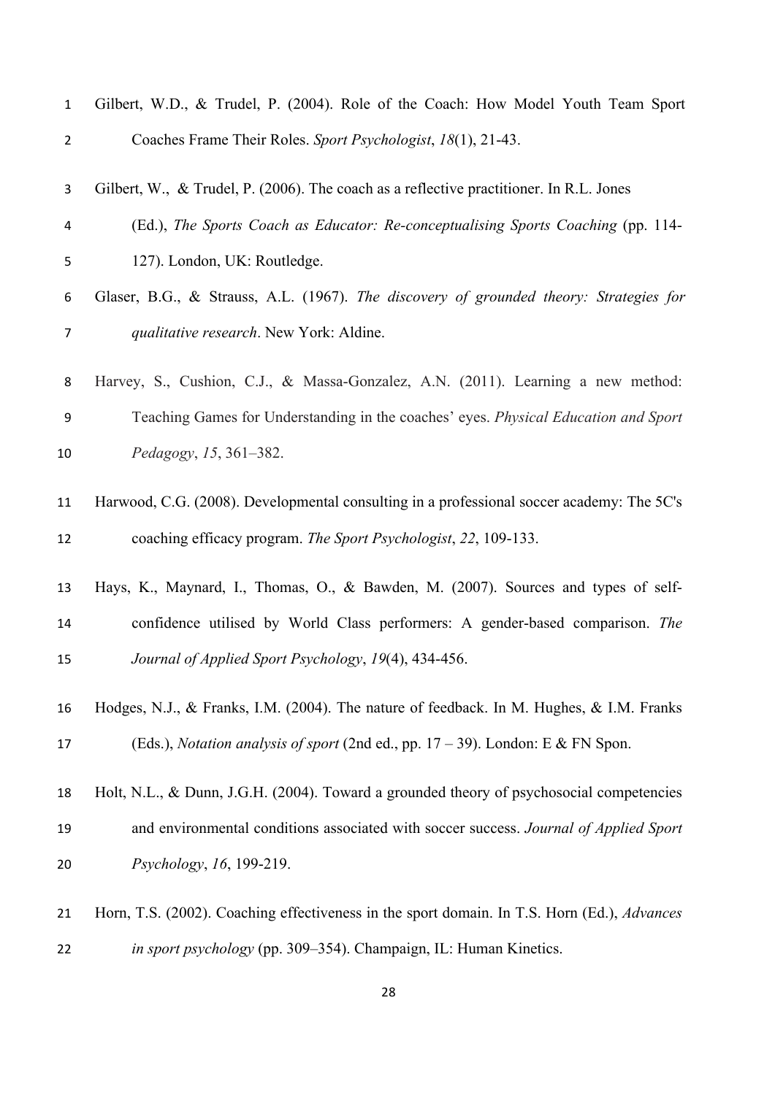| $\mathbf 1$    | Gilbert, W.D., & Trudel, P. (2004). Role of the Coach: How Model Youth Team Sport                  |
|----------------|----------------------------------------------------------------------------------------------------|
| $\overline{2}$ | Coaches Frame Their Roles. Sport Psychologist, 18(1), 21-43.                                       |
| 3              | Gilbert, W., & Trudel, P. (2006). The coach as a reflective practitioner. In R.L. Jones            |
| 4              | (Ed.), The Sports Coach as Educator: Re-conceptualising Sports Coaching (pp. 114-                  |
| 5              | 127). London, UK: Routledge.                                                                       |
| 6              | Glaser, B.G., & Strauss, A.L. (1967). The discovery of grounded theory: Strategies for             |
| 7              | qualitative research. New York: Aldine.                                                            |
| 8              | Harvey, S., Cushion, C.J., & Massa-Gonzalez, A.N. (2011). Learning a new method:                   |
| 9              | Teaching Games for Understanding in the coaches' eyes. Physical Education and Sport                |
| 10             | Pedagogy, 15, 361–382.                                                                             |
| 11             | Harwood, C.G. (2008). Developmental consulting in a professional soccer academy: The 5C's          |
| 12             | coaching efficacy program. The Sport Psychologist, 22, 109-133.                                    |
| 13             | Hays, K., Maynard, I., Thomas, O., & Bawden, M. (2007). Sources and types of self-                 |
| 14             | confidence utilised by World Class performers: A gender-based comparison. The                      |
| 15             | Journal of Applied Sport Psychology, 19(4), 434-456.                                               |
| 16             | Hodges, N.J., & Franks, I.M. (2004). The nature of feedback. In M. Hughes, & I.M. Franks           |
| 17             | (Eds.), <i>Notation analysis of sport</i> (2nd ed., pp. $17 - 39$ ). London: E & FN Spon.          |
| 18             | Holt, N.L., & Dunn, J.G.H. (2004). Toward a grounded theory of psychosocial competencies           |
| 19             | and environmental conditions associated with soccer success. Journal of Applied Sport              |
| 20             | Psychology, 16, 199-219.                                                                           |
| 21             | Horn, T.S. (2002). Coaching effectiveness in the sport domain. In T.S. Horn (Ed.), <i>Advances</i> |
| 22             | in sport psychology (pp. 309–354). Champaign, IL: Human Kinetics.                                  |
|                |                                                                                                    |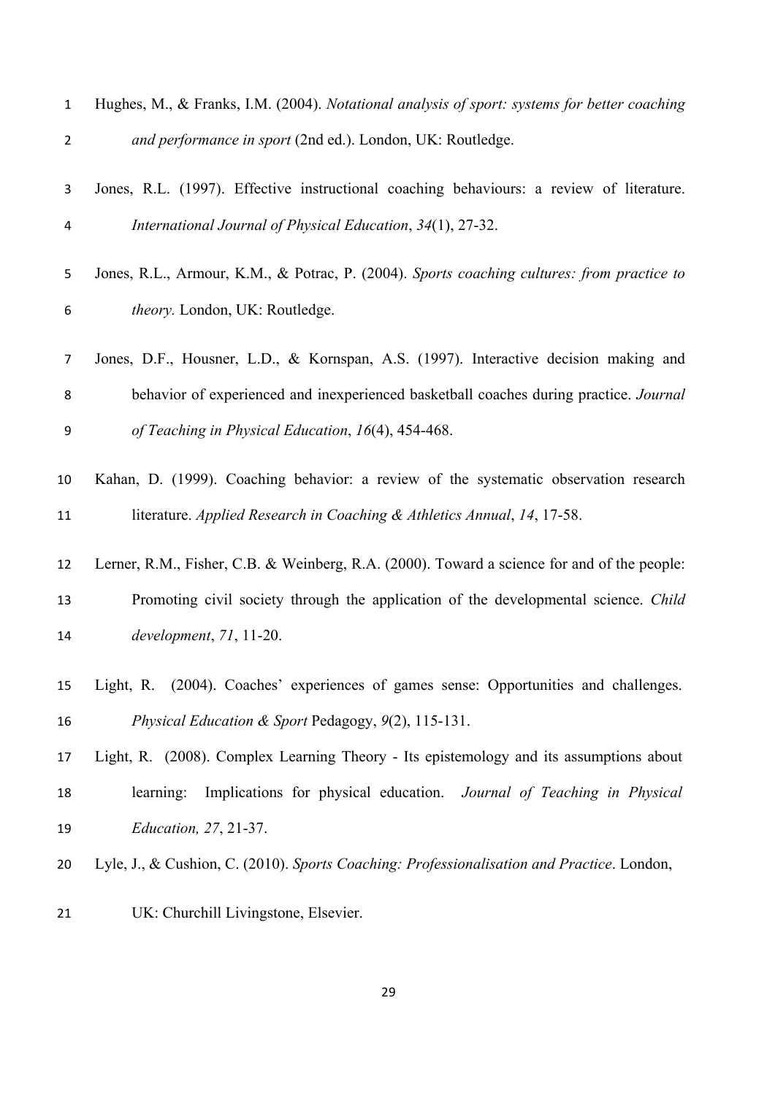| $\mathbf{1}$   | Hughes, M., & Franks, I.M. (2004). Notational analysis of sport: systems for better coaching |
|----------------|----------------------------------------------------------------------------------------------|
| $\overline{2}$ | and performance in sport (2nd ed.). London, UK: Routledge.                                   |
| 3              | Jones, R.L. (1997). Effective instructional coaching behaviours: a review of literature.     |
| 4              | International Journal of Physical Education, 34(1), 27-32.                                   |
| 5              | Jones, R.L., Armour, K.M., & Potrac, P. (2004). Sports coaching cultures: from practice to   |
| 6              | theory. London, UK: Routledge.                                                               |
| 7              | Jones, D.F., Housner, L.D., & Kornspan, A.S. (1997). Interactive decision making and         |
| 8              | behavior of experienced and inexperienced basketball coaches during practice. Journal        |
| 9              | of Teaching in Physical Education, 16(4), 454-468.                                           |
| 10             | Kahan, D. (1999). Coaching behavior: a review of the systematic observation research         |
| 11             | literature. Applied Research in Coaching & Athletics Annual, 14, 17-58.                      |
| 12             | Lerner, R.M., Fisher, C.B. & Weinberg, R.A. (2000). Toward a science for and of the people:  |
| 13             | Promoting civil society through the application of the developmental science. Child          |
| 14             | development, 71, 11-20.                                                                      |
| 15             | Light, R. (2004). Coaches' experiences of games sense: Opportunities and challenges.         |
| 16             | Physical Education & Sport Pedagogy, 9(2), 115-131.                                          |
| 17             | Light, R. (2008). Complex Learning Theory - Its epistemology and its assumptions about       |
| 18             | learning:<br>Implications for physical education. Journal of Teaching in Physical            |
| 19             | <i>Education, 27, 21-37.</i>                                                                 |
| 20             | Lyle, J., & Cushion, C. (2010). Sports Coaching: Professionalisation and Practice. London,   |
| 21             | UK: Churchill Livingstone, Elsevier.                                                         |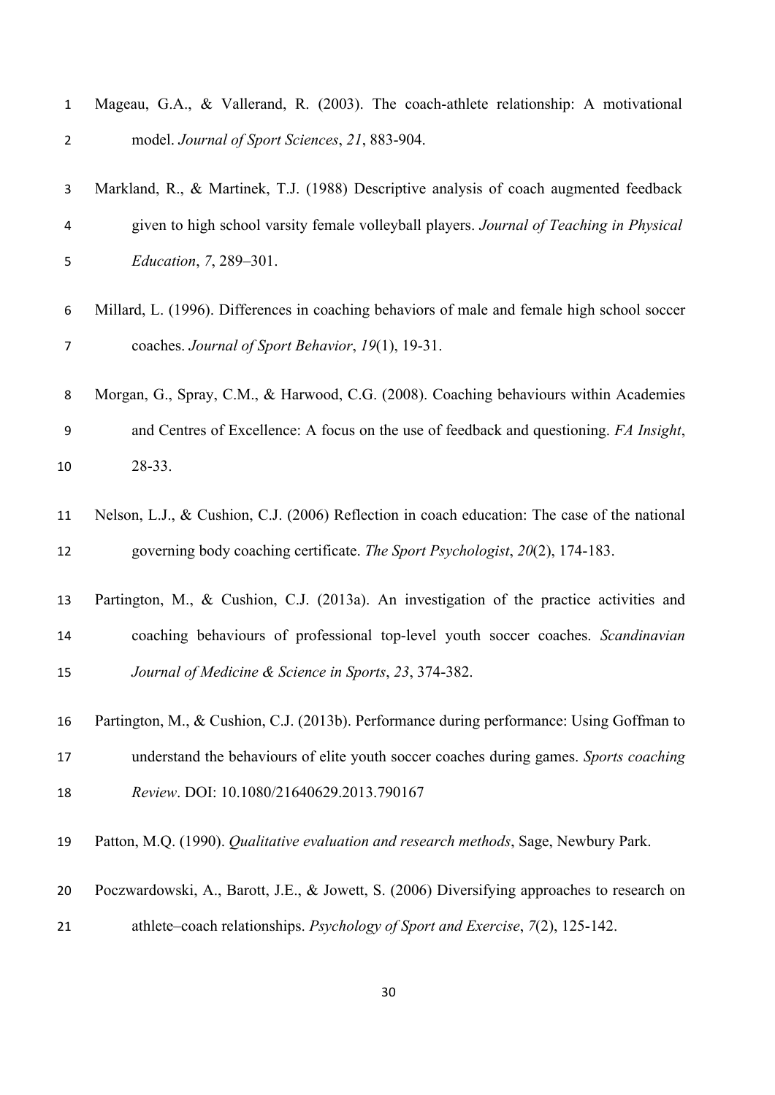| $\mathbf 1$    | Mageau, G.A., & Vallerand, R. (2003). The coach-athlete relationship: A motivational         |
|----------------|----------------------------------------------------------------------------------------------|
| $\overline{2}$ | model. Journal of Sport Sciences, 21, 883-904.                                               |
| 3              | Markland, R., & Martinek, T.J. (1988) Descriptive analysis of coach augmented feedback       |
| 4              | given to high school varsity female volleyball players. Journal of Teaching in Physical      |
| 5              | <i>Education, 7, 289-301.</i>                                                                |
| 6              | Millard, L. (1996). Differences in coaching behaviors of male and female high school soccer  |
| 7              | coaches. Journal of Sport Behavior, 19(1), 19-31.                                            |
| 8              | Morgan, G., Spray, C.M., & Harwood, C.G. (2008). Coaching behaviours within Academies        |
| 9              | and Centres of Excellence: A focus on the use of feedback and questioning. FA Insight,       |
| 10             | 28-33.                                                                                       |
| 11             | Nelson, L.J., & Cushion, C.J. (2006) Reflection in coach education: The case of the national |
| 12             | governing body coaching certificate. The Sport Psychologist, 20(2), 174-183.                 |
| 13             | Partington, M., & Cushion, C.J. (2013a). An investigation of the practice activities and     |
| 14             | coaching behaviours of professional top-level youth soccer coaches. Scandinavian             |
| 15             | Journal of Medicine & Science in Sports, 23, 374-382.                                        |
| 16             | Partington, M., & Cushion, C.J. (2013b). Performance during performance: Using Goffman to    |
| 17             | understand the behaviours of elite youth soccer coaches during games. Sports coaching        |
| 18             | Review. DOI: 10.1080/21640629.2013.790167                                                    |
| 19             | Patton, M.Q. (1990). Qualitative evaluation and research methods, Sage, Newbury Park.        |
| 20             | Poczwardowski, A., Barott, J.E., & Jowett, S. (2006) Diversifying approaches to research on  |
| 21             | athlete-coach relationships. Psychology of Sport and Exercise, 7(2), 125-142.                |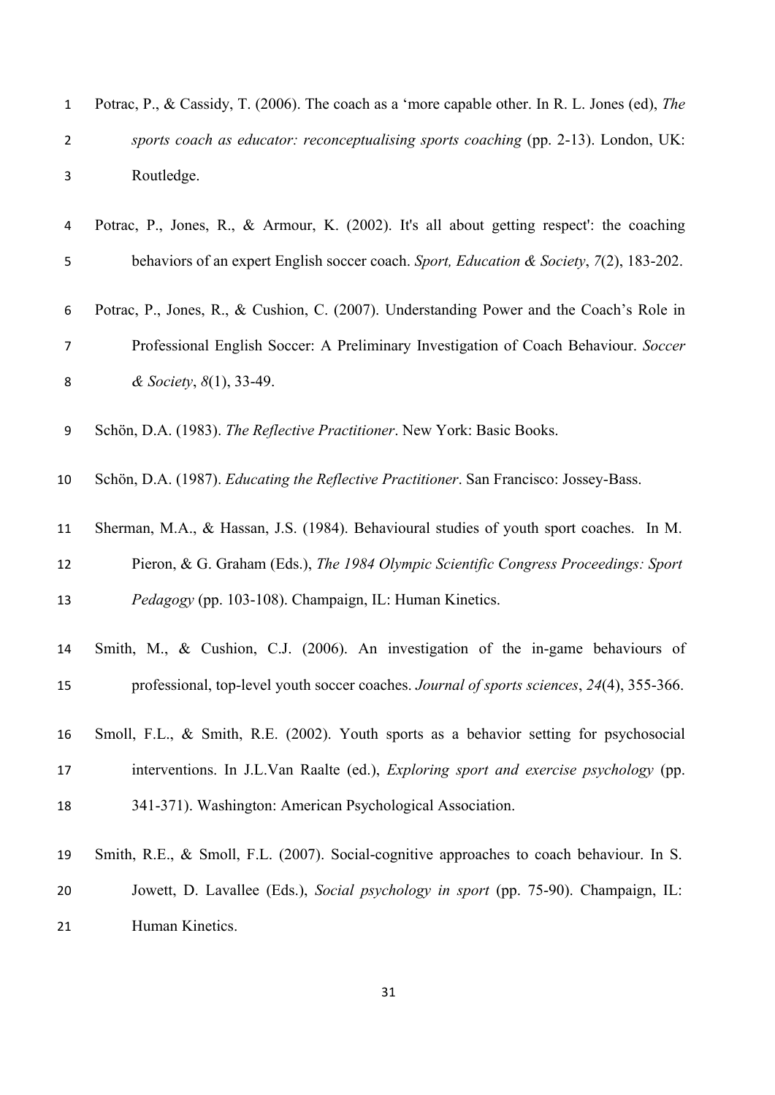| 1              | Potrac, P., & Cassidy, T. (2006). The coach as a 'more capable other. In R. L. Jones (ed), The |
|----------------|------------------------------------------------------------------------------------------------|
| $\overline{2}$ | sports coach as educator: reconceptualising sports coaching (pp. 2-13). London, UK:            |
| 3              | Routledge.                                                                                     |
| 4              | Potrac, P., Jones, R., & Armour, K. (2002). It's all about getting respect': the coaching      |
| 5              | behaviors of an expert English soccer coach. Sport, Education & Society, 7(2), 183-202.        |
| 6              | Potrac, P., Jones, R., & Cushion, C. (2007). Understanding Power and the Coach's Role in       |
| 7              | Professional English Soccer: A Preliminary Investigation of Coach Behaviour. Soccer            |
| 8              | & Society, $8(1)$ , 33-49.                                                                     |
| 9              | Schön, D.A. (1983). The Reflective Practitioner. New York: Basic Books.                        |
| 10             | Schön, D.A. (1987). Educating the Reflective Practitioner. San Francisco: Jossey-Bass.         |
| 11             | Sherman, M.A., & Hassan, J.S. (1984). Behavioural studies of youth sport coaches. In M.        |
| 12             | Pieron, & G. Graham (Eds.), The 1984 Olympic Scientific Congress Proceedings: Sport            |
| 13             | Pedagogy (pp. 103-108). Champaign, IL: Human Kinetics.                                         |
| 14             | Smith, M., & Cushion, C.J. (2006). An investigation of the in-game behaviours of               |
| 15             | professional, top-level youth soccer coaches. Journal of sports sciences, 24(4), 355-366.      |
| 16             | Smoll, F.L., & Smith, R.E. (2002). Youth sports as a behavior setting for psychosocial         |
| 17             | interventions. In J.L.Van Raalte (ed.), Exploring sport and exercise psychology (pp.           |
| 18             | 341-371). Washington: American Psychological Association.                                      |
| 19             | Smith, R.E., & Smoll, F.L. (2007). Social-cognitive approaches to coach behaviour. In S.       |
| 20             | Jowett, D. Lavallee (Eds.), Social psychology in sport (pp. 75-90). Champaign, IL:             |
| 21             | Human Kinetics.                                                                                |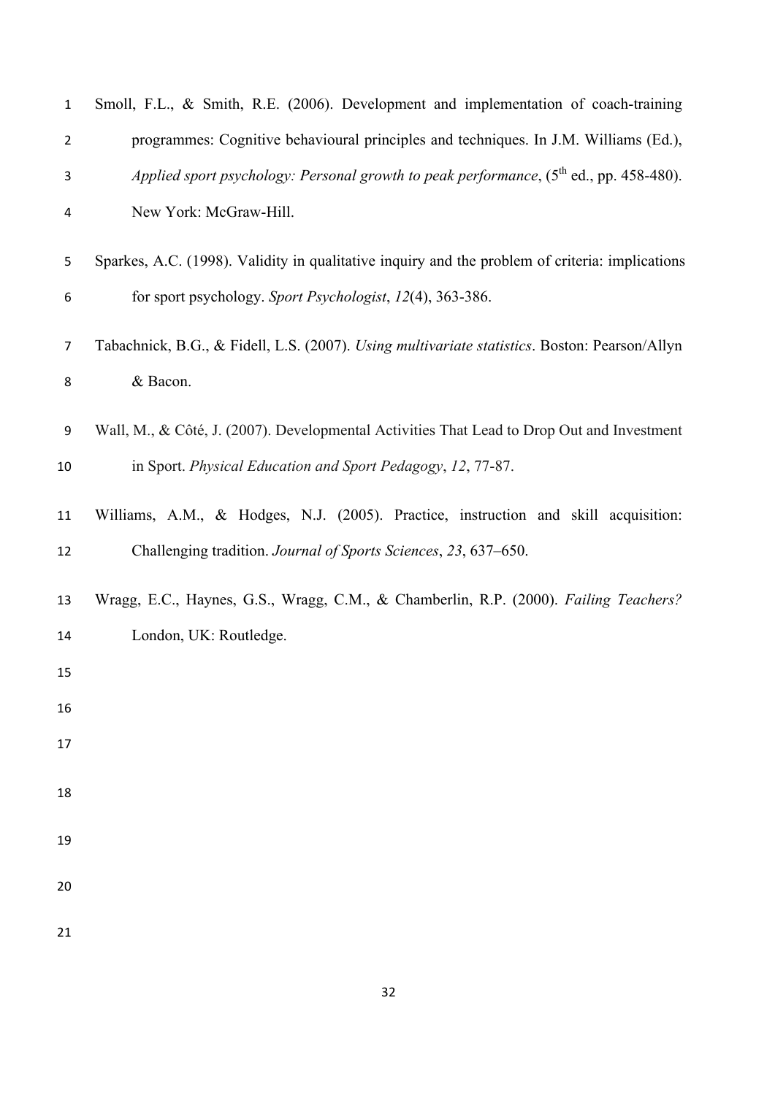| $\mathbf{1}$   | Smoll, F.L., & Smith, R.E. (2006). Development and implementation of coach-training             |
|----------------|-------------------------------------------------------------------------------------------------|
| $\overline{2}$ | programmes: Cognitive behavioural principles and techniques. In J.M. Williams (Ed.),            |
| 3              | Applied sport psychology: Personal growth to peak performance, $(5^{th}$ ed., pp. 458-480).     |
| 4              | New York: McGraw-Hill.                                                                          |
| 5              | Sparkes, A.C. (1998). Validity in qualitative inquiry and the problem of criteria: implications |
| 6              | for sport psychology. Sport Psychologist, 12(4), 363-386.                                       |
| 7              | Tabachnick, B.G., & Fidell, L.S. (2007). Using multivariate statistics. Boston: Pearson/Allyn   |
| 8              | & Bacon.                                                                                        |
| 9              | Wall, M., & Côté, J. (2007). Developmental Activities That Lead to Drop Out and Investment      |
| 10             | in Sport. Physical Education and Sport Pedagogy, 12, 77-87.                                     |
| 11             | Williams, A.M., & Hodges, N.J. (2005). Practice, instruction and skill acquisition:             |
| 12             | Challenging tradition. Journal of Sports Sciences, 23, 637–650.                                 |
| 13             | Wragg, E.C., Haynes, G.S., Wragg, C.M., & Chamberlin, R.P. (2000). Failing Teachers?            |
| 14             | London, UK: Routledge.                                                                          |
| 15             |                                                                                                 |
| 16             |                                                                                                 |
| 17             |                                                                                                 |
| 18             |                                                                                                 |
| 19             |                                                                                                 |
| 20             |                                                                                                 |
| 21             |                                                                                                 |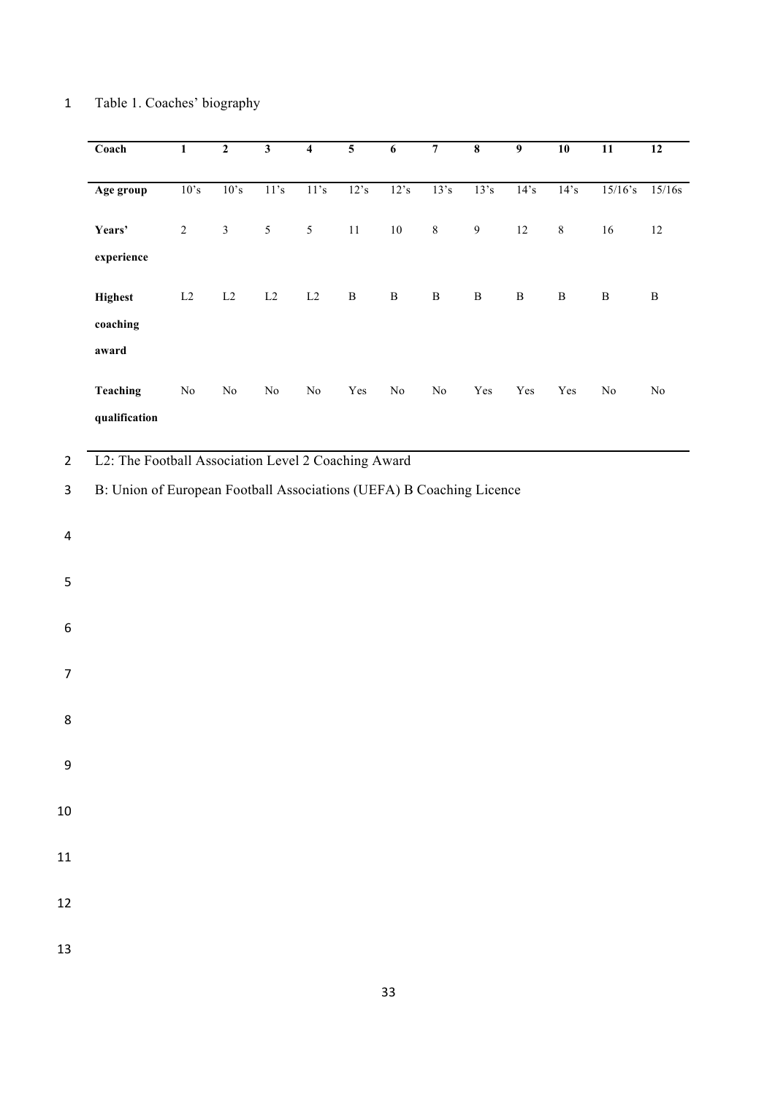# 1 Table 1. Coaches' biography

|                | Coach                                                                | $\overline{1}$ | $\overline{2}$ | $\overline{\mathbf{3}}$ | $\overline{\mathbf{4}}$ | $\overline{\mathbf{5}}$ | $\overline{6}$ | $\overline{7}$ | $\overline{\mathbf{8}}$ | $\overline{9}$       | 10                   | $\overline{11}$ | $\overline{12}$ |
|----------------|----------------------------------------------------------------------|----------------|----------------|-------------------------|-------------------------|-------------------------|----------------|----------------|-------------------------|----------------------|----------------------|-----------------|-----------------|
|                | Age group                                                            | 10's           | 10's           | 11's                    | 11's                    | 12's                    | 12's           | 13's           | 13's                    | 14's                 | 14's                 | $15/16$ 's      | $15/16s$        |
|                | Years'                                                               | $\sqrt{2}$     | $\mathfrak{Z}$ | $\mathfrak{S}$          | $\mathfrak{S}$          | $11\,$                  | $10\,$         | $\,8\,$        | $\boldsymbol{9}$        | $12\,$               | $\,8\,$              | $16\,$          | $12\,$          |
|                | experience                                                           |                |                |                         |                         |                         |                |                |                         |                      |                      |                 |                 |
|                | <b>Highest</b>                                                       | $\rm L2$       | $\rm L2$       | $\rm L2$                | $\rm L2$                | $\, {\bf B}$            | $\, {\bf B}$   | $\, {\bf B}$   | $\, {\bf B}$            | $\, {\bf B}$         | $\, {\bf B}$         | $\, {\bf B}$    | $\, {\bf B}$    |
|                | coaching                                                             |                |                |                         |                         |                         |                |                |                         |                      |                      |                 |                 |
|                | award                                                                |                |                |                         |                         |                         |                |                |                         |                      |                      |                 |                 |
|                | Teaching                                                             | $\rm No$       | $\rm No$       | $\rm No$                | $\rm No$                | Yes                     | $\rm No$       | $\rm No$       | $\operatorname{Yes}$    | $\operatorname{Yes}$ | $\operatorname{Yes}$ | $\rm No$        | $\rm No$        |
|                | qualification                                                        |                |                |                         |                         |                         |                |                |                         |                      |                      |                 |                 |
| $\overline{2}$ | L2: The Football Association Level 2 Coaching Award                  |                |                |                         |                         |                         |                |                |                         |                      |                      |                 |                 |
| $\mathbf{3}$   | B: Union of European Football Associations (UEFA) B Coaching Licence |                |                |                         |                         |                         |                |                |                         |                      |                      |                 |                 |
|                |                                                                      |                |                |                         |                         |                         |                |                |                         |                      |                      |                 |                 |
| 4              |                                                                      |                |                |                         |                         |                         |                |                |                         |                      |                      |                 |                 |
| 5              |                                                                      |                |                |                         |                         |                         |                |                |                         |                      |                      |                 |                 |
|                |                                                                      |                |                |                         |                         |                         |                |                |                         |                      |                      |                 |                 |
| $\,$ 6 $\,$    |                                                                      |                |                |                         |                         |                         |                |                |                         |                      |                      |                 |                 |
| $\overline{7}$ |                                                                      |                |                |                         |                         |                         |                |                |                         |                      |                      |                 |                 |
|                |                                                                      |                |                |                         |                         |                         |                |                |                         |                      |                      |                 |                 |
| 8              |                                                                      |                |                |                         |                         |                         |                |                |                         |                      |                      |                 |                 |
| $\overline{9}$ |                                                                      |                |                |                         |                         |                         |                |                |                         |                      |                      |                 |                 |
|                |                                                                      |                |                |                         |                         |                         |                |                |                         |                      |                      |                 |                 |
| $10\,$         |                                                                      |                |                |                         |                         |                         |                |                |                         |                      |                      |                 |                 |
| $11\,$         |                                                                      |                |                |                         |                         |                         |                |                |                         |                      |                      |                 |                 |
|                |                                                                      |                |                |                         |                         |                         |                |                |                         |                      |                      |                 |                 |
| $12\,$         |                                                                      |                |                |                         |                         |                         |                |                |                         |                      |                      |                 |                 |
| 13             |                                                                      |                |                |                         |                         |                         |                |                |                         |                      |                      |                 |                 |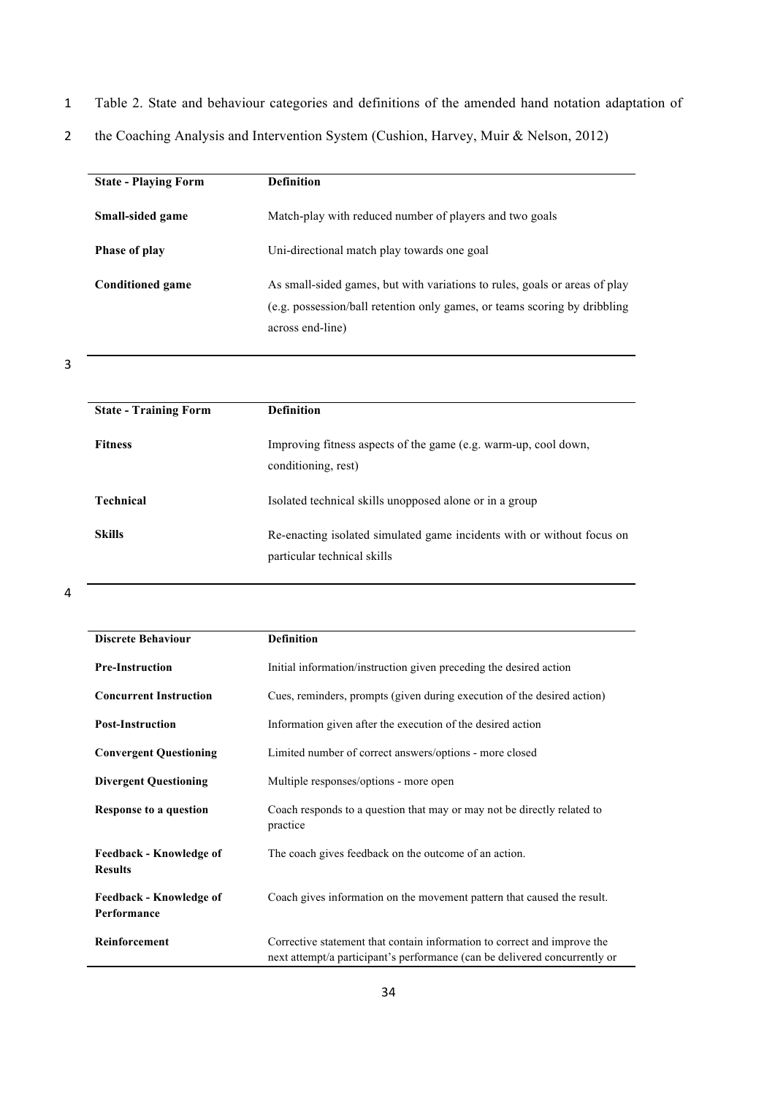- 1 Table 2. State and behaviour categories and definitions of the amended hand notation adaptation of
- 2 the Coaching Analysis and Intervention System (Cushion, Harvey, Muir & Nelson, 2012)

| <b>State - Playing Form</b> | <b>Definition</b>                                                                                                                                                           |
|-----------------------------|-----------------------------------------------------------------------------------------------------------------------------------------------------------------------------|
| Small-sided game            | Match-play with reduced number of players and two goals                                                                                                                     |
| <b>Phase of play</b>        | Uni-directional match play towards one goal                                                                                                                                 |
| <b>Conditioned game</b>     | As small-sided games, but with variations to rules, goals or areas of play<br>(e.g. possession/ball retention only games, or teams scoring by dribbling<br>across end-line) |

| <b>State - Training Form</b> | <b>Definition</b>                                                                                     |
|------------------------------|-------------------------------------------------------------------------------------------------------|
| <b>Fitness</b>               | Improving fitness aspects of the game (e.g. warm-up, cool down,<br>conditioning, rest)                |
| <b>Technical</b>             | Isolated technical skills unopposed alone or in a group                                               |
| <b>Skills</b>                | Re-enacting isolated simulated game incidents with or without focus on<br>particular technical skills |

| <b>Discrete Behaviour</b>                        | <b>Definition</b>                                                                                                                                      |
|--------------------------------------------------|--------------------------------------------------------------------------------------------------------------------------------------------------------|
| <b>Pre-Instruction</b>                           | Initial information/instruction given preceding the desired action                                                                                     |
| <b>Concurrent Instruction</b>                    | Cues, reminders, prompts (given during execution of the desired action)                                                                                |
| <b>Post-Instruction</b>                          | Information given after the execution of the desired action                                                                                            |
| <b>Convergent Questioning</b>                    | Limited number of correct answers/options - more closed                                                                                                |
| <b>Divergent Questioning</b>                     | Multiple responses/options - more open                                                                                                                 |
| Response to a question                           | Coach responds to a question that may or may not be directly related to<br>practice                                                                    |
| <b>Feedback - Knowledge of</b><br><b>Results</b> | The coach gives feedback on the outcome of an action.                                                                                                  |
| <b>Feedback - Knowledge of</b><br>Performance    | Coach gives information on the movement pattern that caused the result.                                                                                |
| Reinforcement                                    | Corrective statement that contain information to correct and improve the<br>next attempt/a participant's performance (can be delivered concurrently or |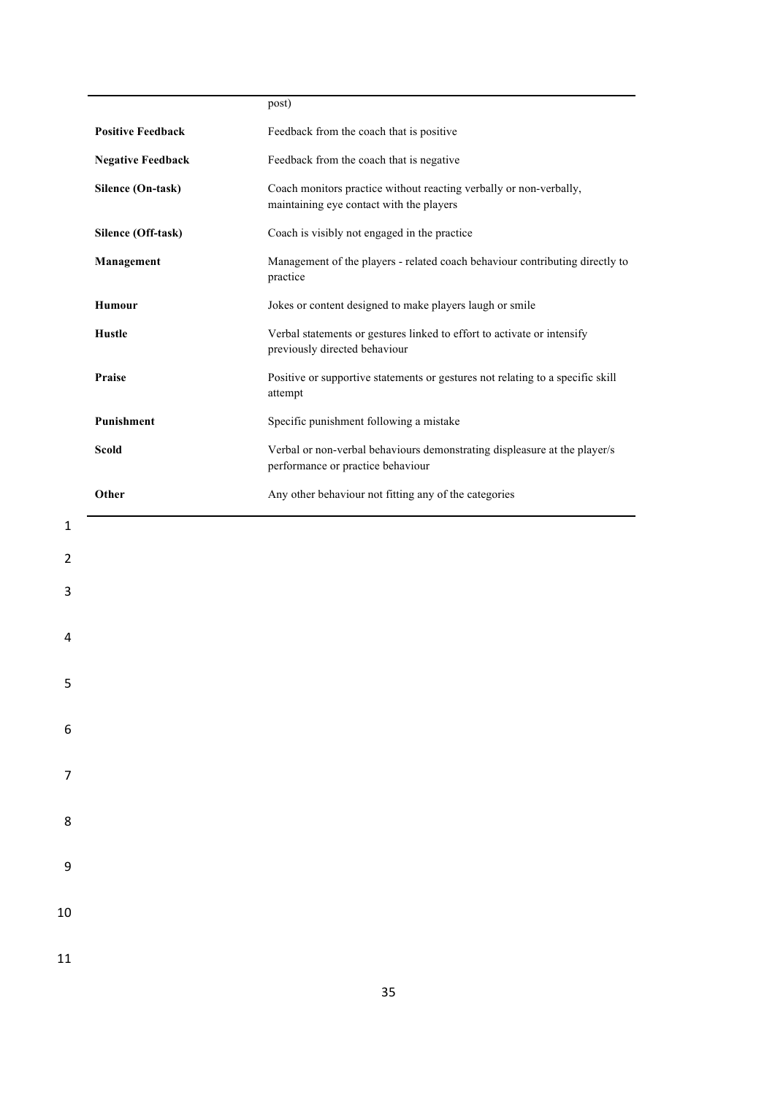|                          | post)                                                                                                          |
|--------------------------|----------------------------------------------------------------------------------------------------------------|
| <b>Positive Feedback</b> | Feedback from the coach that is positive                                                                       |
| <b>Negative Feedback</b> | Feedback from the coach that is negative                                                                       |
| Silence (On-task)        | Coach monitors practice without reacting verbally or non-verbally,<br>maintaining eye contact with the players |
| Silence (Off-task)       | Coach is visibly not engaged in the practice                                                                   |
| Management               | Management of the players - related coach behaviour contributing directly to<br>practice                       |
| <b>Humour</b>            | Jokes or content designed to make players laugh or smile                                                       |
| <b>Hustle</b>            | Verbal statements or gestures linked to effort to activate or intensify<br>previously directed behaviour       |
| Praise                   | Positive or supportive statements or gestures not relating to a specific skill<br>attempt                      |
| Punishment               | Specific punishment following a mistake                                                                        |
| Scold                    | Verbal or non-verbal behaviours demonstrating displeasure at the player/s                                      |
|                          | performance or practice behaviour                                                                              |
| Other                    | Any other behaviour not fitting any of the categories                                                          |
|                          |                                                                                                                |
|                          |                                                                                                                |
|                          |                                                                                                                |
|                          |                                                                                                                |
|                          |                                                                                                                |
|                          |                                                                                                                |

2

3

4

5

6

7

8

9

10

11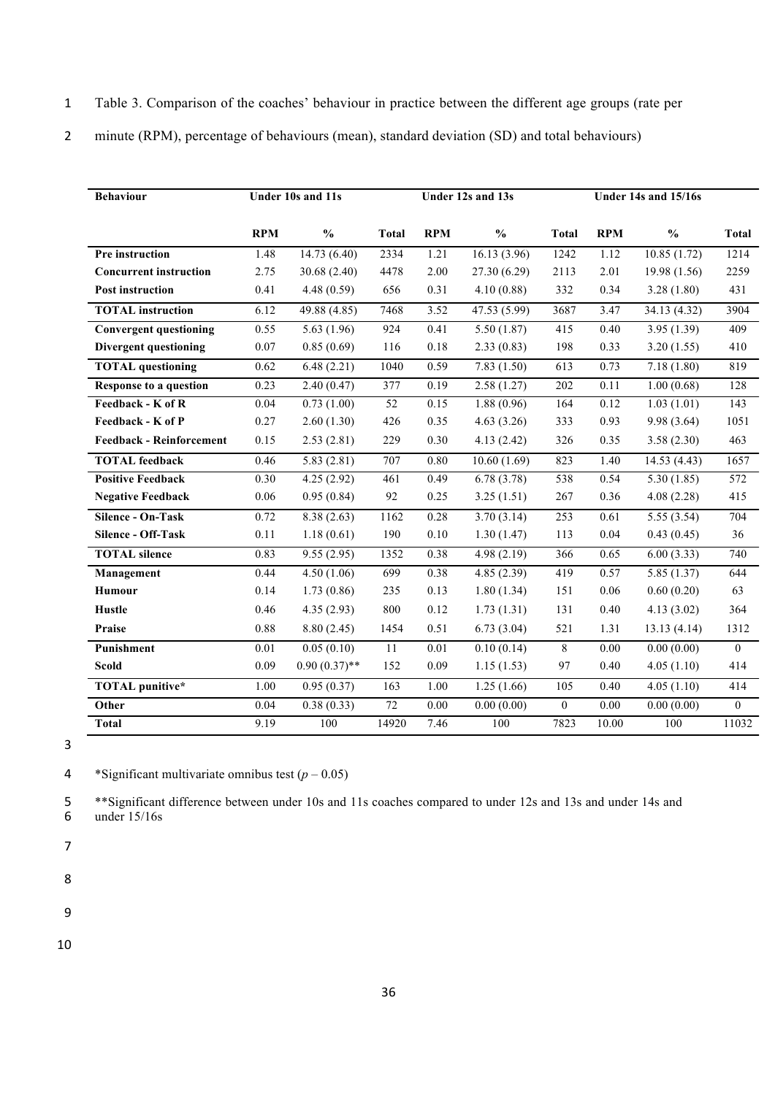- 1 Table 3. Comparison of the coaches' behaviour in practice between the different age groups (rate per
- 2 minute (RPM), percentage of behaviours (mean), standard deviation (SD) and total behaviours)

| <b>Behaviour</b>                |                   | Under 10s and 11s        |              | Under 12s and 13s |               |                | <b>Under 14s and 15/16s</b> |               |                |
|---------------------------------|-------------------|--------------------------|--------------|-------------------|---------------|----------------|-----------------------------|---------------|----------------|
|                                 |                   |                          |              |                   |               |                |                             |               |                |
|                                 | <b>RPM</b>        | $\frac{0}{0}$            | <b>Total</b> | <b>RPM</b>        | $\frac{0}{0}$ | <b>Total</b>   | <b>RPM</b>                  | $\frac{0}{0}$ | <b>Total</b>   |
| Pre instruction                 | 1.48              | 14.73(6.40)              | 2334         | 1.21              | 16.13 (3.96)  | 1242           | 1.12                        | 10.85(1.72)   | 1214           |
| <b>Concurrent instruction</b>   | 2.75              | 30.68 (2.40)             | 4478         | 2.00              | 27.30 (6.29)  | 2113           | 2.01                        | 19.98(1.56)   | 2259           |
| <b>Post instruction</b>         | 0.41              | 4.48(0.59)               | 656          | 0.31              | 4.10(0.88)    | 332            | 0.34                        | 3.28(1.80)    | 431            |
| <b>TOTAL</b> instruction        | 6.12              | 49.88(4.85)              | 7468         | 3.52              | 47.53 (5.99)  | 3687           | 3.47                        | 34.13(4.32)   | 3904           |
| <b>Convergent questioning</b>   | 0.55              | $\overline{5.63}$ (1.96) | 924          | 0.41              | 5.50(1.87)    | 415            | 0.40                        | 3.95(1.39)    | 409            |
| Divergent questioning           | 0.07              | 0.85(0.69)               | 116          | $0.18\,$          | 2.33(0.83)    | 198            | 0.33                        | 3.20(1.55)    | 410            |
| <b>TOTAL</b> questioning        | 0.62              | 6.48(2.21)               | 1040         | 0.59              | 7.83(1.50)    | 613            | 0.73                        | 7.18(1.80)    | 819            |
| Response to a question          | 0.23              | 2.40(0.47)               | 377          | 0.19              | 2.58(1.27)    | 202            | 0.11                        | 1.00(0.68)    | 128            |
| Feedback - K of R               | 0.04              | 0.73(1.00)               | 52           | 0.15              | 1.88(0.96)    | 164            | 0.12                        | 1.03(1.01)    | 143            |
| Feedback - K of P               | 0.27              | 2.60(1.30)               | 426          | 0.35              | 4.63(3.26)    | 333            | 0.93                        | 9.98 (3.64)   | 1051           |
| <b>Feedback - Reinforcement</b> | 0.15              | 2.53(2.81)               | 229          | 0.30              | 4.13(2.42)    | 326            | 0.35                        | 3.58(2.30)    | 463            |
| <b>TOTAL</b> feedback           | 0.46              | 5.83(2.81)               | 707          | 0.80              | 10.60(1.69)   | 823            | 1.40                        | 14.53(4.43)   | 1657           |
| <b>Positive Feedback</b>        | 0.30              | 4.25(2.92)               | 461          | 0.49              | 6.78(3.78)    | 538            | 0.54                        | 5.30(1.85)    | 572            |
| <b>Negative Feedback</b>        | 0.06              | 0.95(0.84)               | 92           | 0.25              | 3.25(1.51)    | 267            | 0.36                        | 4.08(2.28)    | 415            |
| <b>Silence - On-Task</b>        | 0.72              | 8.38(2.63)               | 1162         | 0.28              | 3.70(3.14)    | 253            | 0.61                        | 5.55(3.54)    | 704            |
| Silence - Off-Task              | 0.11              | 1.18(0.61)               | 190          | $0.10\,$          | 1.30(1.47)    | 113            | 0.04                        | 0.43(0.45)    | 36             |
| <b>TOTAL</b> silence            | 0.83              | 9.55(2.95)               | 1352         | 0.38              | 4.98(2.19)    | 366            | 0.65                        | 6.00(3.33)    | 740            |
| Management                      | 0.44              | 4.50(1.06)               | 699          | 0.38              | 4.85(2.39)    | 419            | 0.57                        | 5.85(1.37)    | 644            |
| <b>Humour</b>                   | 0.14              | 1.73(0.86)               | 235          | 0.13              | 1.80(1.34)    | 151            | 0.06                        | 0.60(0.20)    | 63             |
| <b>Hustle</b>                   | 0.46              | 4.35(2.93)               | 800          | 0.12              | 1.73(1.31)    | 131            | 0.40                        | 4.13(3.02)    | 364            |
| Praise                          | 0.88              | 8.80(2.45)               | 1454         | 0.51              | 6.73(3.04)    | 521            | 1.31                        | 13.13(4.14)   | 1312           |
| Punishment                      | $\overline{0.01}$ | 0.05(0.10)               | 11           | 0.01              | 0.10(0.14)    | 8              | 0.00                        | 0.00(0.00)    | $\overline{0}$ |
| <b>Scold</b>                    | 0.09              | $0.90(0.37)$ **          | 152          | 0.09              | 1.15(1.53)    | 97             | 0.40                        | 4.05(1.10)    | 414            |
| <b>TOTAL</b> punitive*          | 1.00              | 0.95(0.37)               | 163          | 1.00              | 1.25(1.66)    | 105            | 0.40                        | 4.05(1.10)    | 414            |
| Other                           | 0.04              | 0.38(0.33)               | 72           | 0.00              | 0.00(0.00)    | $\overline{0}$ | 0.00                        | 0.00(0.00)    | $\overline{0}$ |
| <b>Total</b>                    | 9.19              | 100                      | 14920        | 7.46              | 100           | 7823           | 10.00                       | 100           | 11032          |

4 \*Significant multivariate omnibus test  $(p - 0.05)$ 

5 \*\*Significant difference between under 10s and 11s coaches compared to under 12s and 13s and under 14s and 6 under 15/16s

7

8

9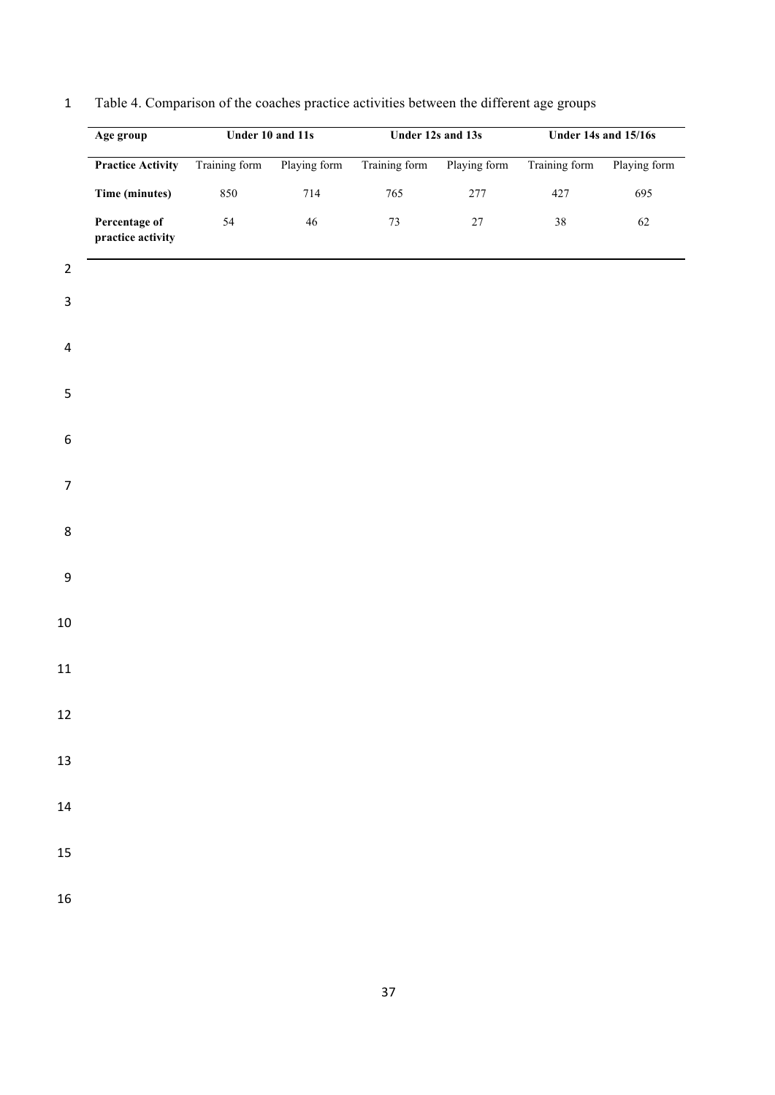|                         | Age group                          | Under 10 and 11s |              |               | Under 12s and 13s | Under 14s and 15/16s |              |
|-------------------------|------------------------------------|------------------|--------------|---------------|-------------------|----------------------|--------------|
|                         | <b>Practice Activity</b>           | Training form    | Playing form | Training form | Playing form      | Training form        | Playing form |
|                         | Time (minutes)                     | 850              | 714          | $765\,$       | $277\,$           | 427                  | 695          |
|                         | Percentage of<br>practice activity | 54               | $46\,$       | $73\,$        | $27\,$            | $38\,$               | $62\,$       |
| $\overline{2}$          |                                    |                  |              |               |                   |                      |              |
| 3                       |                                    |                  |              |               |                   |                      |              |
|                         |                                    |                  |              |               |                   |                      |              |
| $\overline{\mathbf{4}}$ |                                    |                  |              |               |                   |                      |              |
| $\mathsf S$             |                                    |                  |              |               |                   |                      |              |
|                         |                                    |                  |              |               |                   |                      |              |
| 6                       |                                    |                  |              |               |                   |                      |              |
| $\overline{7}$          |                                    |                  |              |               |                   |                      |              |
|                         |                                    |                  |              |               |                   |                      |              |
| 8                       |                                    |                  |              |               |                   |                      |              |
|                         |                                    |                  |              |               |                   |                      |              |
| 9                       |                                    |                  |              |               |                   |                      |              |
| $10\,$                  |                                    |                  |              |               |                   |                      |              |
|                         |                                    |                  |              |               |                   |                      |              |
| $11\,$                  |                                    |                  |              |               |                   |                      |              |
| $12\,$                  |                                    |                  |              |               |                   |                      |              |
|                         |                                    |                  |              |               |                   |                      |              |
| $13\,$                  |                                    |                  |              |               |                   |                      |              |
| ${\bf 14}$              |                                    |                  |              |               |                   |                      |              |
|                         |                                    |                  |              |               |                   |                      |              |
| $15\,$                  |                                    |                  |              |               |                   |                      |              |
| 16                      |                                    |                  |              |               |                   |                      |              |

# Table 4. Comparison of the coaches practice activities between the different age groups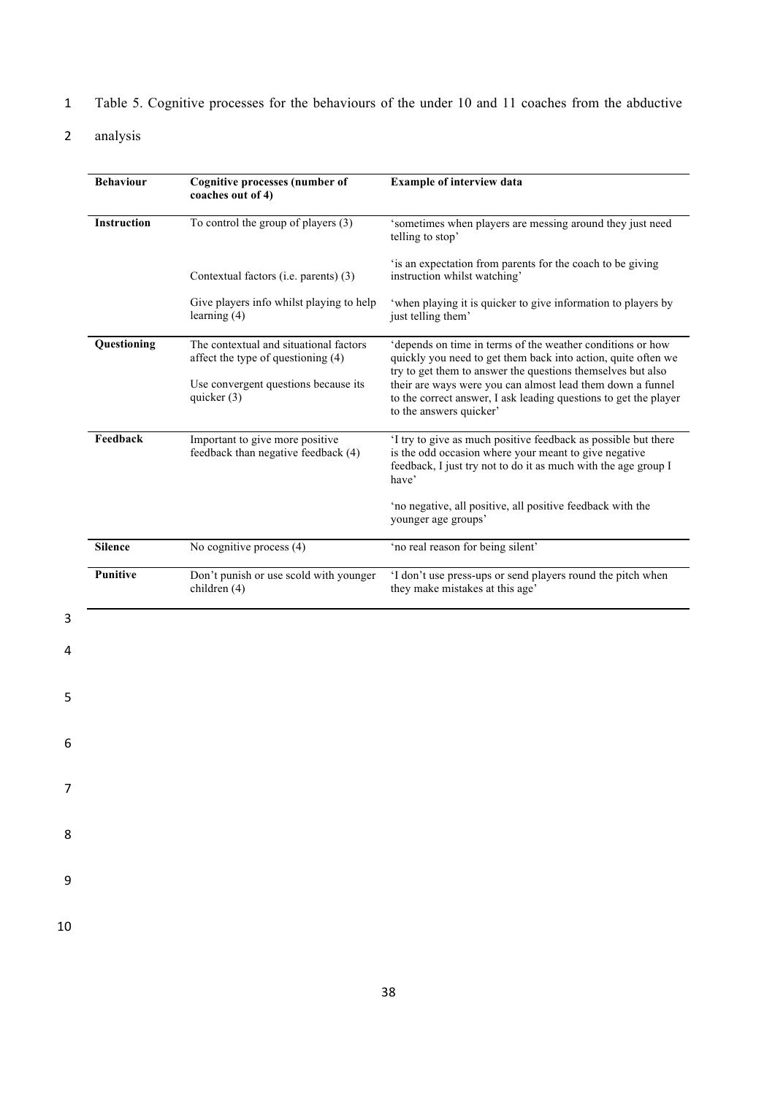- 1 Table 5. Cognitive processes for the behaviours of the under 10 and 11 coaches from the abductive
- 2 analysis

4

5

6

7

8

9

| <b>Behaviour</b>   | <b>Cognitive processes (number of</b><br>coaches out of 4)                   | <b>Example of interview data</b>                                                                                                                                                                                         |
|--------------------|------------------------------------------------------------------------------|--------------------------------------------------------------------------------------------------------------------------------------------------------------------------------------------------------------------------|
| <b>Instruction</b> | To control the group of players $(3)$                                        | 'sometimes when players are messing around they just need<br>telling to stop'                                                                                                                                            |
|                    | Contextual factors (i.e. parents) (3)                                        | 'is an expectation from parents for the coach to be giving<br>instruction whilst watching'                                                                                                                               |
|                    | Give players info whilst playing to help<br>learning $(4)$                   | 'when playing it is quicker to give information to players by<br>just telling them'                                                                                                                                      |
| Questioning        | The contextual and situational factors<br>affect the type of questioning (4) | 'depends on time in terms of the weather conditions or how<br>quickly you need to get them back into action, quite often we                                                                                              |
|                    | Use convergent questions because its<br>quicker $(3)$                        | try to get them to answer the questions themselves but also<br>their are ways were you can almost lead them down a funnel<br>to the correct answer, I ask leading questions to get the player<br>to the answers quicker' |
| Feedback           | Important to give more positive<br>feedback than negative feedback (4)       | 'I try to give as much positive feedback as possible but there<br>is the odd occasion where your meant to give negative<br>feedback, I just try not to do it as much with the age group I<br>have'                       |
|                    |                                                                              | 'no negative, all positive, all positive feedback with the<br>younger age groups'                                                                                                                                        |
| <b>Silence</b>     | No cognitive process (4)                                                     | 'no real reason for being silent'                                                                                                                                                                                        |
| <b>Punitive</b>    | Don't punish or use scold with younger<br>children (4)                       | 'I don't use press-ups or send players round the pitch when<br>they make mistakes at this age'                                                                                                                           |
|                    |                                                                              |                                                                                                                                                                                                                          |
|                    |                                                                              |                                                                                                                                                                                                                          |
|                    |                                                                              |                                                                                                                                                                                                                          |
|                    |                                                                              |                                                                                                                                                                                                                          |
|                    |                                                                              |                                                                                                                                                                                                                          |
|                    |                                                                              |                                                                                                                                                                                                                          |
|                    |                                                                              |                                                                                                                                                                                                                          |
|                    |                                                                              |                                                                                                                                                                                                                          |
|                    |                                                                              |                                                                                                                                                                                                                          |
|                    |                                                                              |                                                                                                                                                                                                                          |
|                    |                                                                              |                                                                                                                                                                                                                          |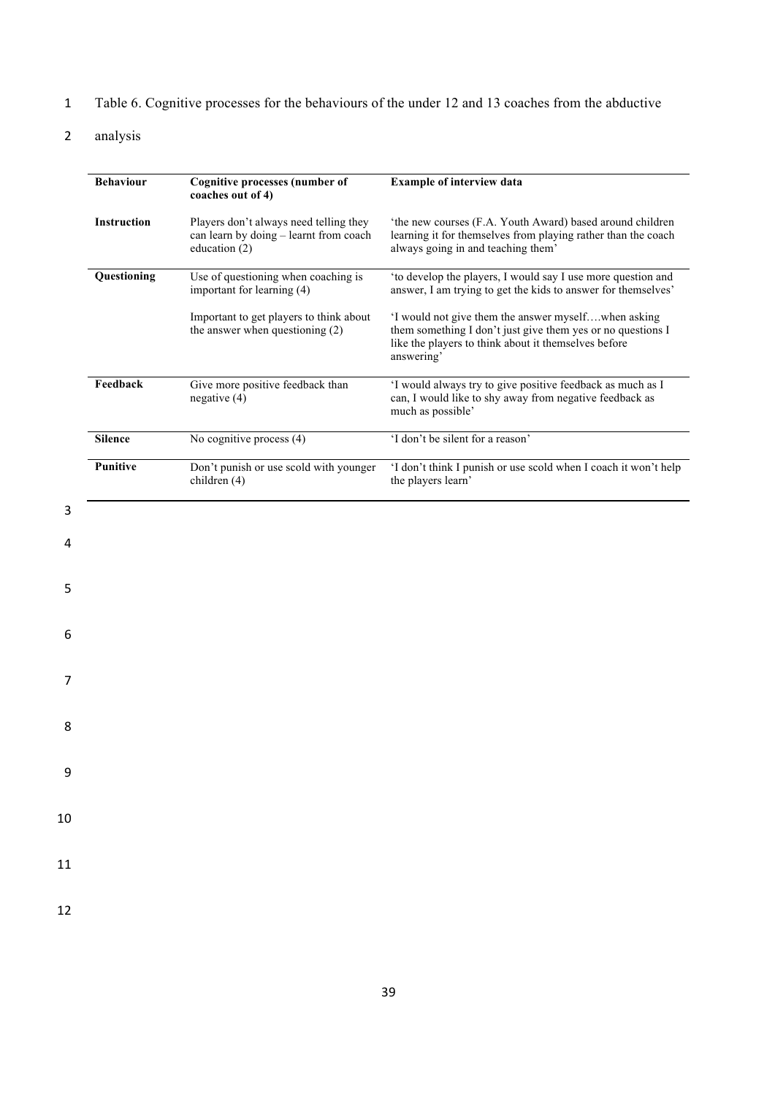- 1 Table 6. Cognitive processes for the behaviours of the under 12 and 13 coaches from the abductive
- 2 analysis

|    | <b>Behaviour</b> | <b>Cognitive processes (number of</b>                                                             | <b>Example of interview data</b>                                                                                                                                                         |
|----|------------------|---------------------------------------------------------------------------------------------------|------------------------------------------------------------------------------------------------------------------------------------------------------------------------------------------|
|    |                  | coaches out of 4)                                                                                 |                                                                                                                                                                                          |
|    | Instruction      | Players don't always need telling they<br>can learn by doing - learnt from coach<br>education (2) | 'the new courses (F.A. Youth Award) based around children<br>learning it for themselves from playing rather than the coach<br>always going in and teaching them'                         |
|    | Questioning      | Use of questioning when coaching is<br>important for learning (4)                                 | 'to develop the players, I would say I use more question and<br>answer, I am trying to get the kids to answer for themselves'                                                            |
|    |                  | Important to get players to think about<br>the answer when questioning (2)                        | 'I would not give them the answer myselfwhen asking<br>them something I don't just give them yes or no questions I<br>like the players to think about it themselves before<br>answering' |
|    | Feedback         | Give more positive feedback than<br>negative $(4)$                                                | 'I would always try to give positive feedback as much as I<br>can, I would like to shy away from negative feedback as<br>much as possible'                                               |
|    | <b>Silence</b>   | No cognitive process (4)                                                                          | 'I don't be silent for a reason'                                                                                                                                                         |
|    | Punitive         | Don't punish or use scold with younger<br>children (4)                                            | 'I don't think I punish or use scold when I coach it won't help<br>the players learn'                                                                                                    |
| 3  |                  |                                                                                                   |                                                                                                                                                                                          |
| 4  |                  |                                                                                                   |                                                                                                                                                                                          |
|    |                  |                                                                                                   |                                                                                                                                                                                          |
| 5  |                  |                                                                                                   |                                                                                                                                                                                          |
| 6  |                  |                                                                                                   |                                                                                                                                                                                          |
| 7  |                  |                                                                                                   |                                                                                                                                                                                          |
| 8  |                  |                                                                                                   |                                                                                                                                                                                          |
| 9  |                  |                                                                                                   |                                                                                                                                                                                          |
|    |                  |                                                                                                   |                                                                                                                                                                                          |
| 10 |                  |                                                                                                   |                                                                                                                                                                                          |
| 11 |                  |                                                                                                   |                                                                                                                                                                                          |
| 12 |                  |                                                                                                   |                                                                                                                                                                                          |